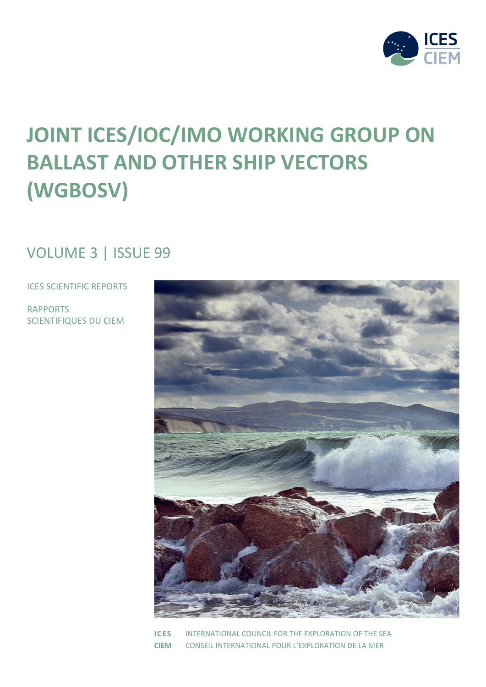

# **JOINT ICES/IOC/IMO WORKING GROUP ON BALLAST AND OTHER SHIP VECTORS (WGBOSV)**

# VOLUME 3 | ISSUE 99

ICES SCIENTIFIC REPORTS

RAPPORTS SCIENTIFIQUES DU CIEM



**ICES** INTERNATIONAL COUNCIL FOR THE EXPLORATION OF THE SEA **CIEM** CONSEIL INTERNATIONAL POUR L'EXPLORATION DE LA MER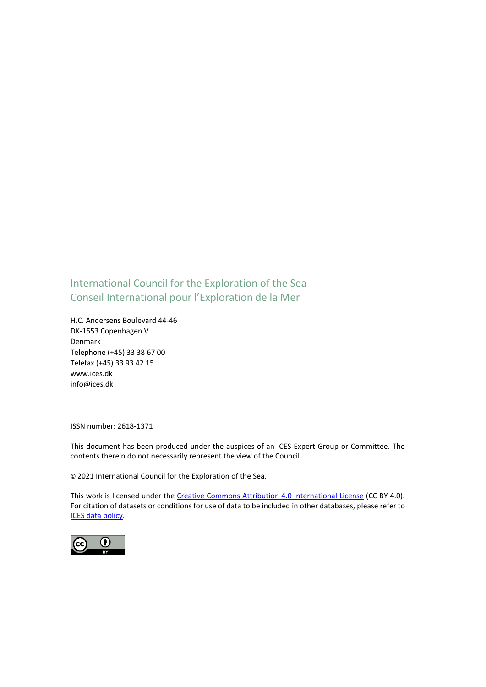### International Council for the Exploration of the Sea Conseil International pour l'Exploration de la Mer

H.C. Andersens Boulevard 44-46 DK-1553 Copenhagen V Denmark Telephone (+45) 33 38 67 00 Telefax (+45) 33 93 42 15 www.ices.dk info@ices.dk

ISSN number: 2618-1371

This document has been produced under the auspices of an ICES Expert Group or Committee. The contents therein do not necessarily represent the view of the Council.

© 2021 International Council for the Exploration of the Sea.

This work is licensed under the Creative Commons Attribution 4.0 International License (CC BY 4.0). For citation of datasets or conditions for use of data to be included in other databases, please refer to ICES data policy.

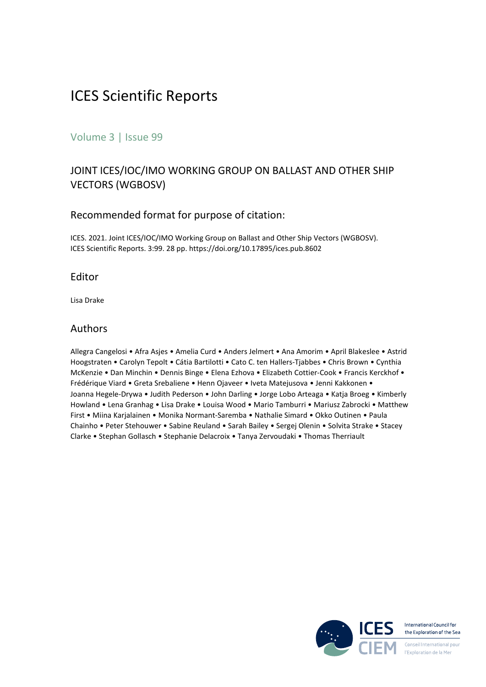## ICES Scientific Reports

#### Volume 3 | Issue 99

#### JOINT ICES/IOC/IMO WORKING GROUP ON BALLAST AND OTHER SHIP VECTORS (WGBOSV)

#### Recommended format for purpose of citation:

ICES. 2021. Joint ICES/IOC/IMO Working Group on Ballast and Other Ship Vectors (WGBOSV). ICES Scientific Reports. 3:99. 28 pp. https://doi.org/10.17895/ices.pub.8602

#### Editor

Lisa Drake

#### Authors

Allegra Cangelosi • Afra Asjes • Amelia Curd • Anders Jelmert • Ana Amorim • April Blakeslee • Astrid Hoogstraten • Carolyn Tepolt • Cátia Bartilotti • Cato C. ten Hallers-Tjabbes • Chris Brown • Cynthia McKenzie • Dan Minchin • Dennis Binge • Elena Ezhova • Elizabeth Cottier-Cook • Francis Kerckhof • Frédérique Viard • Greta Srebaliene • Henn Ojaveer • Iveta Matejusova • Jenni Kakkonen • Joanna Hegele-Drywa • Judith Pederson • John Darling • Jorge Lobo Arteaga • Katja Broeg • Kimberly Howland • Lena Granhag • Lisa Drake • Louisa Wood • Mario Tamburri • Mariusz Zabrocki • Matthew First • Miina Karjalainen • Monika Normant-Saremba • Nathalie Simard • Okko Outinen • Paula Chainho • Peter Stehouwer • Sabine Reuland • Sarah Bailey • Sergej Olenin • Solvita Strake • Stacey Clarke • Stephan Gollasch • Stephanie Delacroix • Tanya Zervoudaki • Thomas Therriault

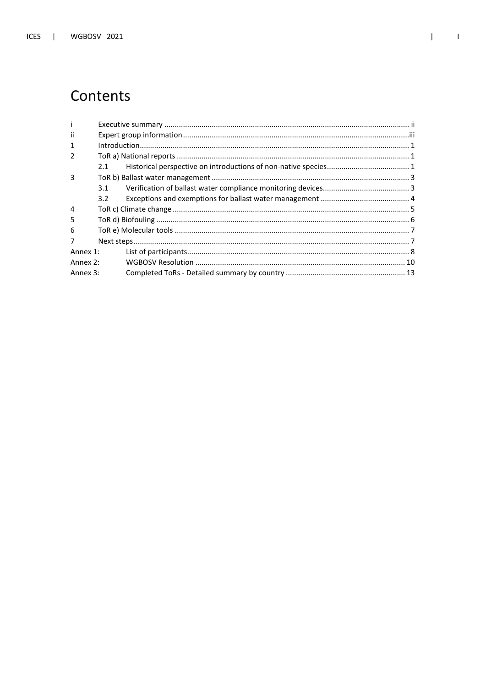# Contents

| j.             |     |  |
|----------------|-----|--|
| Ϊİ             |     |  |
| $\mathbf{1}$   |     |  |
| $\mathcal{P}$  |     |  |
|                | 2.1 |  |
| 3              |     |  |
|                | 3.1 |  |
|                | 3.2 |  |
| $\overline{4}$ |     |  |
| 5              |     |  |
| 6              |     |  |
| $\overline{7}$ |     |  |
| Annex 1:       |     |  |
| Annex 2:       |     |  |
| Annex 3:       |     |  |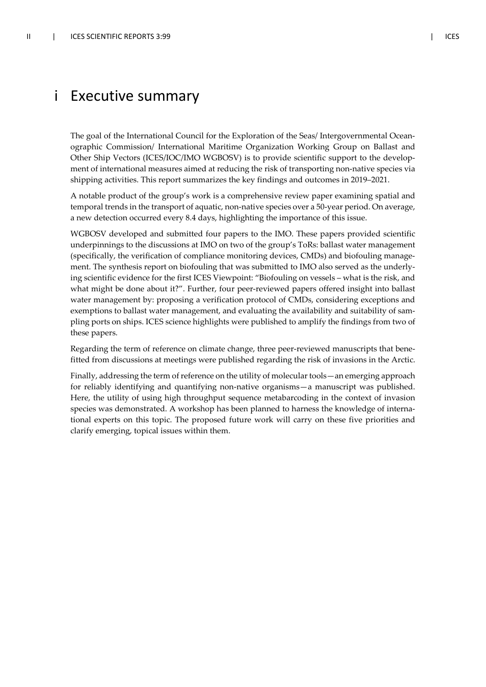### i Executive summary

The goal of the International Council for the Exploration of the Seas/ Intergovernmental Oceanographic Commission/ International Maritime Organization Working Group on Ballast and Other Ship Vectors (ICES/IOC/IMO WGBOSV) is to provide scientific support to the development of international measures aimed at reducing the risk of transporting non-native species via shipping activities. This report summarizes the key findings and outcomes in 2019–2021.

A notable product of the group's work is a comprehensive review paper examining spatial and temporal trends in the transport of aquatic, non-native species over a 50-year period. On average, a new detection occurred every 8.4 days, highlighting the importance of this issue.

WGBOSV developed and submitted four papers to the IMO. These papers provided scientific underpinnings to the discussions at IMO on two of the group's ToRs: ballast water management (specifically, the verification of compliance monitoring devices, CMDs) and biofouling management. The synthesis report on biofouling that was submitted to IMO also served as the underlying scientific evidence for the first ICES Viewpoint: "Biofouling on vessels – what is the risk, and what might be done about it?". Further, four peer-reviewed papers offered insight into ballast water management by: proposing a verification protocol of CMDs, considering exceptions and exemptions to ballast water management, and evaluating the availability and suitability of sampling ports on ships. ICES science highlights were published to amplify the findings from two of these papers.

Regarding the term of reference on climate change, three peer-reviewed manuscripts that benefitted from discussions at meetings were published regarding the risk of invasions in the Arctic.

Finally, addressing the term of reference on the utility of molecular tools—an emerging approach for reliably identifying and quantifying non-native organisms—a manuscript was published. Here, the utility of using high throughput sequence metabarcoding in the context of invasion species was demonstrated. A workshop has been planned to harness the knowledge of international experts on this topic. The proposed future work will carry on these five priorities and clarify emerging, topical issues within them.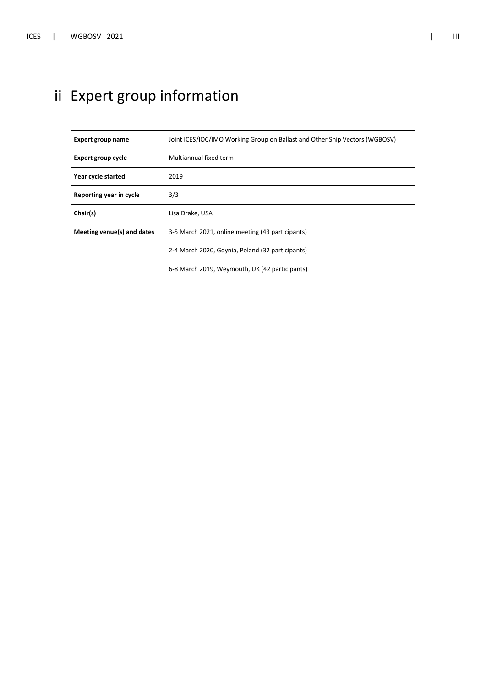# ii Expert group information

| Expert group name          | Joint ICES/IOC/IMO Working Group on Ballast and Other Ship Vectors (WGBOSV) |
|----------------------------|-----------------------------------------------------------------------------|
| <b>Expert group cycle</b>  | Multiannual fixed term                                                      |
| Year cycle started         | 2019                                                                        |
| Reporting year in cycle    | 3/3                                                                         |
|                            |                                                                             |
| Chair(s)                   | Lisa Drake, USA                                                             |
| Meeting venue(s) and dates | 3-5 March 2021, online meeting (43 participants)                            |
|                            | 2-4 March 2020, Gdynia, Poland (32 participants)                            |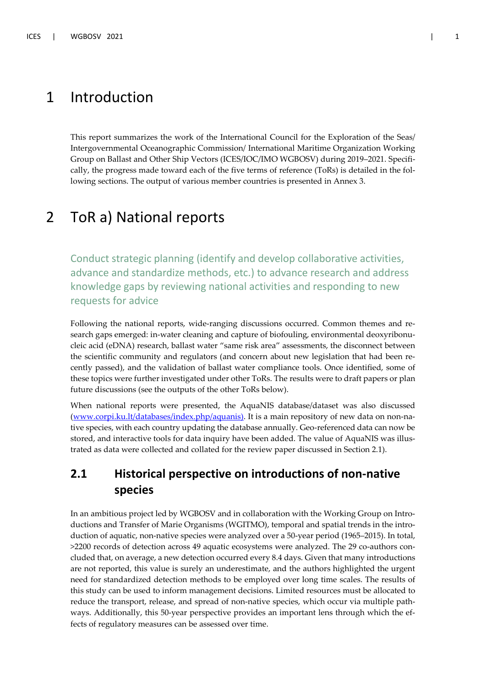### 1 Introduction

This report summarizes the work of the International Council for the Exploration of the Seas/ Intergovernmental Oceanographic Commission/ International Maritime Organization Working Group on Ballast and Other Ship Vectors (ICES/IOC/IMO WGBOSV) during 2019–2021. Specifically, the progress made toward each of the five terms of reference (ToRs) is detailed in the following sections. The output of various member countries is presented in Annex 3.

### 2 ToR a) National reports

Conduct strategic planning (identify and develop collaborative activities, advance and standardize methods, etc.) to advance research and address knowledge gaps by reviewing national activities and responding to new requests for advice

Following the national reports, wide-ranging discussions occurred. Common themes and research gaps emerged: in-water cleaning and capture of biofouling, environmental deoxyribonucleic acid (eDNA) research, ballast water "same risk area" assessments, the disconnect between the scientific community and regulators (and concern about new legislation that had been recently passed), and the validation of ballast water compliance tools. Once identified, some of these topics were further investigated under other ToRs. The results were to draft papers or plan future discussions (see the outputs of the other ToRs below).

When national reports were presented, the AquaNIS database/dataset was also discussed (www.corpi.ku.lt/databases/index.php/aquanis). It is a main repository of new data on non-native species, with each country updating the database annually. Geo-referenced data can now be stored, and interactive tools for data inquiry have been added. The value of AquaNIS was illustrated as data were collected and collated for the review paper discussed in Section 2.1).

### **2.1 Historical perspective on introductions of non-native species**

In an ambitious project led by WGBOSV and in collaboration with the Working Group on Introductions and Transfer of Marie Organisms (WGITMO), temporal and spatial trends in the introduction of aquatic, non-native species were analyzed over a 50-year period (1965–2015). In total, >2200 records of detection across 49 aquatic ecosystems were analyzed. The 29 co-authors concluded that, on average, a new detection occurred every 8.4 days. Given that many introductions are not reported, this value is surely an underestimate, and the authors highlighted the urgent need for standardized detection methods to be employed over long time scales. The results of this study can be used to inform management decisions. Limited resources must be allocated to reduce the transport, release, and spread of non-native species, which occur via multiple pathways. Additionally, this 50-year perspective provides an important lens through which the effects of regulatory measures can be assessed over time.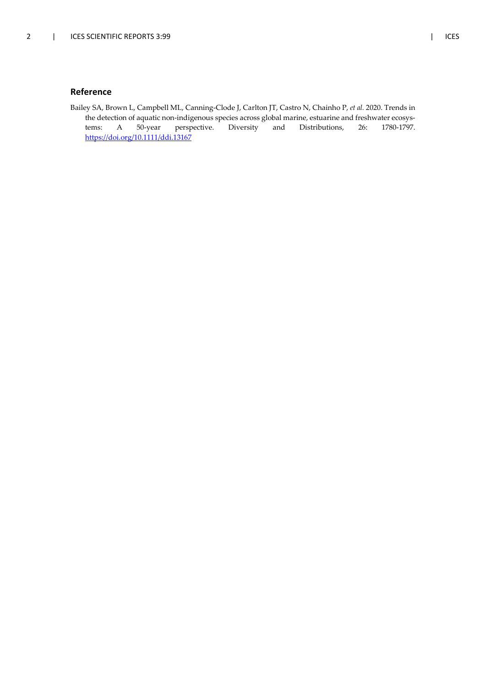#### **Reference**

Bailey SA, Brown L, Campbell ML, Canning-Clode J, Carlton JT, Castro N, Chainho P, *et al.* 2020. Trends in the detection of aquatic non-indigenous species across global marine, estuarine and freshwater ecosystems: A 50-year perspective. Diversity and Distributions, 26: 1780-1797. https://doi.org/10.1111/ddi.13167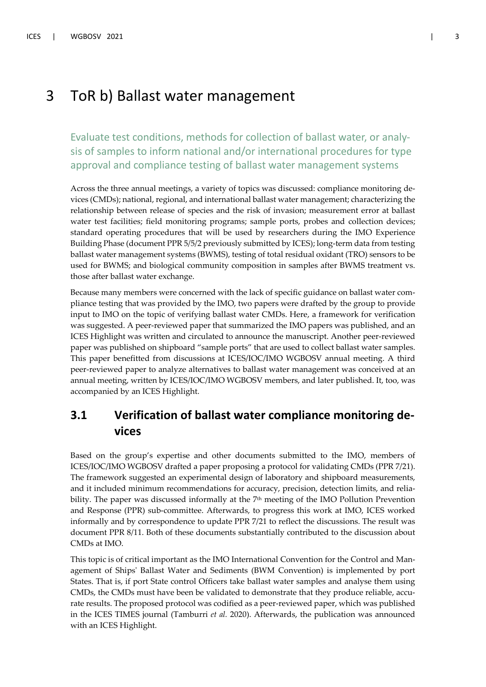### 3 ToR b) Ballast water management

Evaluate test conditions, methods for collection of ballast water, or analysis of samples to inform national and/or international procedures for type approval and compliance testing of ballast water management systems

Across the three annual meetings, a variety of topics was discussed: compliance monitoring devices (CMDs); national, regional, and international ballast water management; characterizing the relationship between release of species and the risk of invasion; measurement error at ballast water test facilities; field monitoring programs; sample ports, probes and collection devices; standard operating procedures that will be used by researchers during the IMO Experience Building Phase (document PPR 5/5/2 previously submitted by ICES); long-term data from testing ballast water management systems (BWMS), testing of total residual oxidant (TRO) sensors to be used for BWMS; and biological community composition in samples after BWMS treatment vs. those after ballast water exchange.

Because many members were concerned with the lack of specific guidance on ballast water compliance testing that was provided by the IMO, two papers were drafted by the group to provide input to IMO on the topic of verifying ballast water CMDs. Here, a framework for verification was suggested. A peer-reviewed paper that summarized the IMO papers was published, and an ICES Highlight was written and circulated to announce the manuscript. Another peer-reviewed paper was published on shipboard "sample ports" that are used to collect ballast water samples. This paper benefitted from discussions at ICES/IOC/IMO WGBOSV annual meeting. A third peer-reviewed paper to analyze alternatives to ballast water management was conceived at an annual meeting, written by ICES/IOC/IMO WGBOSV members, and later published. It, too, was accompanied by an ICES Highlight.

### **3.1 Verification of ballast water compliance monitoring devices**

Based on the group's expertise and other documents submitted to the IMO, members of ICES/IOC/IMO WGBOSV drafted a paper proposing a protocol for validating CMDs (PPR 7/21). The framework suggested an experimental design of laboratory and shipboard measurements, and it included minimum recommendations for accuracy, precision, detection limits, and reliability. The paper was discussed informally at the 7<sup>th</sup> meeting of the IMO Pollution Prevention and Response (PPR) sub-committee. Afterwards, to progress this work at IMO, ICES worked informally and by correspondence to update PPR 7/21 to reflect the discussions. The result was document PPR 8/11. Both of these documents substantially contributed to the discussion about CMDs at IMO.

This topic is of critical important as the IMO International Convention for the Control and Management of Ships' Ballast Water and Sediments (BWM Convention) is implemented by port States. That is, if port State control Officers take ballast water samples and analyse them using CMDs, the CMDs must have been be validated to demonstrate that they produce reliable, accurate results. The proposed protocol was codified as a peer-reviewed paper, which was published in the ICES TIMES journal (Tamburri *et al.* 2020). Afterwards, the publication was announced with an ICES Highlight.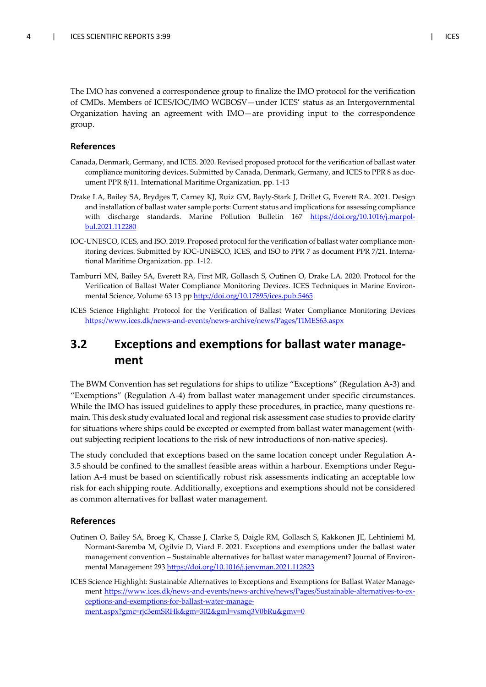The IMO has convened a correspondence group to finalize the IMO protocol for the verification of CMDs. Members of ICES/IOC/IMO WGBOSV—under ICES' status as an Intergovernmental Organization having an agreement with IMO—are providing input to the correspondence group.

#### **References**

- Canada, Denmark, Germany, and ICES. 2020. Revised proposed protocol for the verification of ballast water compliance monitoring devices. Submitted by Canada, Denmark, Germany, and ICES to PPR 8 as document PPR 8/11. International Maritime Organization. pp. 1-13
- Drake LA, Bailey SA, Brydges T, Carney KJ, Ruiz GM, Bayly-Stark J, Drillet G, Everett RA. 2021. Design and installation of ballast water sample ports: Current status and implications for assessing compliance with discharge standards. Marine Pollution Bulletin 167 https://doi.org/10.1016/j.marpolbul.2021.112280
- IOC-UNESCO, ICES, and ISO. 2019. Proposed protocol for the verification of ballast water compliance monitoring devices. Submitted by IOC-UNESCO, ICES, and ISO to PPR 7 as document PPR 7/21. International Maritime Organization. pp. 1-12.
- Tamburri MN, Bailey SA, Everett RA, First MR, Gollasch S, Outinen O, Drake LA. 2020. Protocol for the Verification of Ballast Water Compliance Monitoring Devices. ICES Techniques in Marine Environmental Science, Volume 63 13 pp http://doi.org/10.17895/ices.pub.5465
- ICES Science Highlight: Protocol for the Verification of Ballast Water Compliance Monitoring Devices https://www.ices.dk/news-and-events/news-archive/news/Pages/TIMES63.aspx

### **3.2 Exceptions and exemptions for ballast water management**

The BWM Convention has set regulations for ships to utilize "Exceptions" (Regulation A-3) and "Exemptions" (Regulation A-4) from ballast water management under specific circumstances. While the IMO has issued guidelines to apply these procedures, in practice, many questions remain. This desk study evaluated local and regional risk assessment case studies to provide clarity for situations where ships could be excepted or exempted from ballast water management (without subjecting recipient locations to the risk of new introductions of non-native species).

The study concluded that exceptions based on the same location concept under Regulation A-3.5 should be confined to the smallest feasible areas within a harbour. Exemptions under Regulation A-4 must be based on scientifically robust risk assessments indicating an acceptable low risk for each shipping route. Additionally, exceptions and exemptions should not be considered as common alternatives for ballast water management.

#### **References**

- Outinen O, Bailey SA, Broeg K, Chasse J, Clarke S, Daigle RM, Gollasch S, Kakkonen JE, Lehtiniemi M, Normant-Saremba M, Ogilvie D, Viard F. 2021. Exceptions and exemptions under the ballast water management convention – Sustainable alternatives for ballast water management? Journal of Environmental Management 293 https://doi.org/10.1016/j.jenvman.2021.112823
- ICES Science Highlight: Sustainable Alternatives to Exceptions and Exemptions for Ballast Water Management https://www.ices.dk/news-and-events/news-archive/news/Pages/Sustainable-alternatives-to-exceptions-and-exemptions-for-ballast-water-management.aspx?gmc=rjc3emSRHk&gm=302&gml=vsmq3V0bRu&gmv=0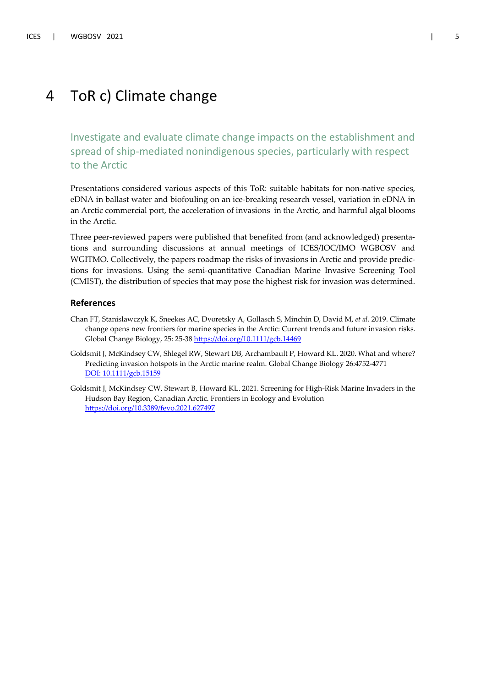### 4 ToR c) Climate change

Investigate and evaluate climate change impacts on the establishment and spread of ship-mediated nonindigenous species, particularly with respect to the Arctic

Presentations considered various aspects of this ToR: suitable habitats for non-native species, eDNA in ballast water and biofouling on an ice-breaking research vessel, variation in eDNA in an Arctic commercial port, the acceleration of invasions in the Arctic, and harmful algal blooms in the Arctic.

Three peer-reviewed papers were published that benefited from (and acknowledged) presentations and surrounding discussions at annual meetings of ICES/IOC/IMO WGBOSV and WGITMO. Collectively, the papers roadmap the risks of invasions in Arctic and provide predictions for invasions. Using the semi-quantitative Canadian Marine Invasive Screening Tool (CMIST), the distribution of species that may pose the highest risk for invasion was determined.

#### **References**

- Chan FT, Stanislawczyk K, Sneekes AC, Dvoretsky A, Gollasch S, Minchin D, David M, *et al.* 2019. Climate change opens new frontiers for marine species in the Arctic: Current trends and future invasion risks. Global Change Biology, 25: 25-38 https://doi.org/10.1111/gcb.14469
- Goldsmit J, McKindsey CW, Shlegel RW, Stewart DB, Archambault P, Howard KL. 2020. What and where? Predicting invasion hotspots in the Arctic marine realm. Global Change Biology 26:4752-4771 DOI: 10.1111/gcb.15159
- Goldsmit J, McKindsey CW, Stewart B, Howard KL. 2021. Screening for High-Risk Marine Invaders in the Hudson Bay Region, Canadian Arctic. Frontiers in Ecology and Evolution https://doi.org/10.3389/fevo.2021.627497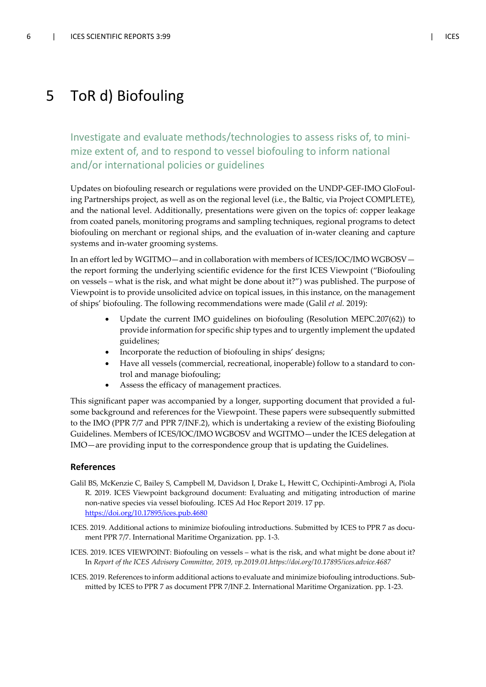### 5 ToR d) Biofouling

Investigate and evaluate methods/technologies to assess risks of, to minimize extent of, and to respond to vessel biofouling to inform national and/or international policies or guidelines

Updates on biofouling research or regulations were provided on the UNDP-GEF-IMO GloFouling Partnerships project, as well as on the regional level (i.e., the Baltic, via Project COMPLETE), and the national level. Additionally, presentations were given on the topics of: copper leakage from coated panels, monitoring programs and sampling techniques, regional programs to detect biofouling on merchant or regional ships, and the evaluation of in-water cleaning and capture systems and in-water grooming systems.

In an effort led by WGITMO—and in collaboration with members of ICES/IOC/IMO WGBOSV the report forming the underlying scientific evidence for the first ICES Viewpoint ("Biofouling on vessels – what is the risk, and what might be done about it?") was published. The purpose of Viewpoint is to provide unsolicited advice on topical issues, in this instance, on the management of ships' biofouling. The following recommendations were made (Galil *et al.* 2019):

- Update the current IMO guidelines on biofouling (Resolution MEPC.207(62)) to provide information for specific ship types and to urgently implement the updated guidelines;
- Incorporate the reduction of biofouling in ships' designs;
- Have all vessels (commercial, recreational, inoperable) follow to a standard to control and manage biofouling;
- Assess the efficacy of management practices.

This significant paper was accompanied by a longer, supporting document that provided a fulsome background and references for the Viewpoint. These papers were subsequently submitted to the IMO (PPR 7/7 and PPR 7/INF.2), which is undertaking a review of the existing Biofouling Guidelines. Members of ICES/IOC/IMO WGBOSV and WGITMO—under the ICES delegation at IMO—are providing input to the correspondence group that is updating the Guidelines.

#### **References**

- Galil BS, McKenzie C, Bailey S, Campbell M, Davidson I, Drake L, Hewitt C, Occhipinti-Ambrogi A, Piola R. 2019. ICES Viewpoint background document: Evaluating and mitigating introduction of marine non-native species via vessel biofouling. ICES Ad Hoc Report 2019. 17 pp. https://doi.org/10.17895/ices.pub.4680
- ICES. 2019. Additional actions to minimize biofouling introductions. Submitted by ICES to PPR 7 as document PPR 7/7. International Maritime Organization. pp. 1-3.
- ICES. 2019. ICES VIEWPOINT: Biofouling on vessels what is the risk, and what might be done about it? In *Report of the ICES Advisory Committee, 2019, vp.2019.01.https://doi.org/10.17895/ices.advice.4687*
- ICES. 2019. References to inform additional actions to evaluate and minimize biofouling introductions. Submitted by ICES to PPR 7 as document PPR 7/INF.2. International Maritime Organization. pp. 1-23.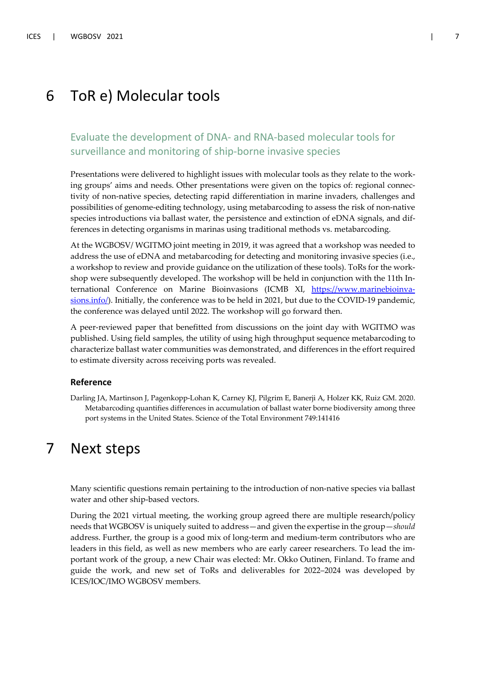### 6 ToR e) Molecular tools

#### Evaluate the development of DNA- and RNA-based molecular tools for surveillance and monitoring of ship-borne invasive species

Presentations were delivered to highlight issues with molecular tools as they relate to the working groups' aims and needs. Other presentations were given on the topics of: regional connectivity of non-native species, detecting rapid differentiation in marine invaders, challenges and possibilities of genome-editing technology, using metabarcoding to assess the risk of non-native species introductions via ballast water, the persistence and extinction of eDNA signals, and differences in detecting organisms in marinas using traditional methods vs. metabarcoding.

At the WGBOSV/ WGITMO joint meeting in 2019, it was agreed that a workshop was needed to address the use of eDNA and metabarcoding for detecting and monitoring invasive species (i.e., a workshop to review and provide guidance on the utilization of these tools). ToRs for the workshop were subsequently developed. The workshop will be held in conjunction with the 11th International Conference on Marine Bioinvasions (ICMB XI, https://www.marinebioinvasions.info/). Initially, the conference was to be held in 2021, but due to the COVID-19 pandemic, the conference was delayed until 2022. The workshop will go forward then.

A peer-reviewed paper that benefitted from discussions on the joint day with WGITMO was published. Using field samples, the utility of using high throughput sequence metabarcoding to characterize ballast water communities was demonstrated, and differences in the effort required to estimate diversity across receiving ports was revealed.

#### **Reference**

Darling JA, Martinson J, Pagenkopp-Lohan K, Carney KJ, Pilgrim E, Banerji A, Holzer KK, Ruiz GM. 2020. Metabarcoding quantifies differences in accumulation of ballast water borne biodiversity among three port systems in the United States. Science of the Total Environment 749:141416

### 7 Next steps

Many scientific questions remain pertaining to the introduction of non-native species via ballast water and other ship-based vectors.

During the 2021 virtual meeting, the working group agreed there are multiple research/policy needs that WGBOSV is uniquely suited to address—and given the expertise in the group—*should* address. Further, the group is a good mix of long-term and medium-term contributors who are leaders in this field, as well as new members who are early career researchers. To lead the important work of the group, a new Chair was elected: Mr. Okko Outinen, Finland. To frame and guide the work, and new set of ToRs and deliverables for 2022–2024 was developed by ICES/IOC/IMO WGBOSV members.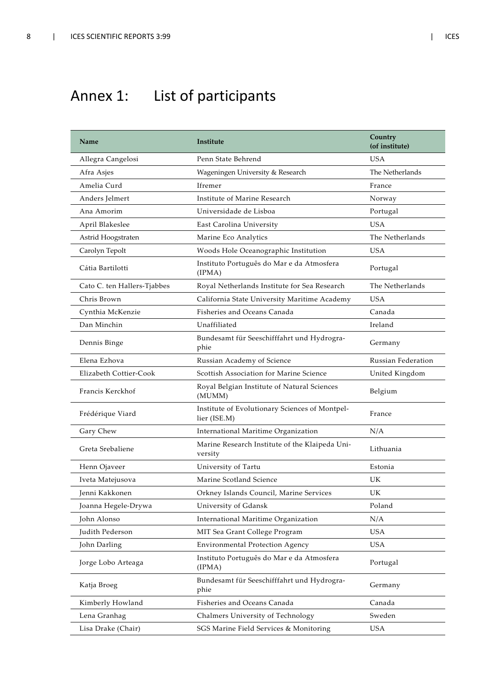# Annex 1: List of participants

| Name                        | Institute                                                      | Country<br>(of institute) |
|-----------------------------|----------------------------------------------------------------|---------------------------|
| Allegra Cangelosi           | Penn State Behrend                                             | <b>USA</b>                |
| Afra Asjes                  | Wageningen University & Research                               | The Netherlands           |
| Amelia Curd                 | Ifremer                                                        | France                    |
| Anders Jelmert              | Institute of Marine Research                                   | Norway                    |
| Ana Amorim                  | Universidade de Lisboa                                         | Portugal                  |
| April Blakeslee             | East Carolina University                                       | <b>USA</b>                |
| Astrid Hoogstraten          | Marine Eco Analytics                                           | The Netherlands           |
| Carolyn Tepolt              | Woods Hole Oceanographic Institution                           | <b>USA</b>                |
| Cátia Bartilotti            | Instituto Português do Mar e da Atmosfera<br>(IPMA)            | Portugal                  |
| Cato C. ten Hallers-Tjabbes | Royal Netherlands Institute for Sea Research                   | The Netherlands           |
| Chris Brown                 | California State University Maritime Academy                   | <b>USA</b>                |
| Cynthia McKenzie            | Fisheries and Oceans Canada                                    | Canada                    |
| Dan Minchin                 | Unaffiliated                                                   | Ireland                   |
| Dennis Binge                | Bundesamt für Seeschifffahrt und Hydrogra-<br>phie             | Germany                   |
| Elena Ezhova                | Russian Academy of Science                                     | Russian Federation        |
| Elizabeth Cottier-Cook      | Scottish Association for Marine Science                        | United Kingdom            |
| Francis Kerckhof            | Royal Belgian Institute of Natural Sciences<br>(MUMM)          | Belgium                   |
| Frédérique Viard            | Institute of Evolutionary Sciences of Montpel-<br>lier (ISE.M) | France                    |
| Gary Chew                   | International Maritime Organization                            | N/A                       |
| Greta Srebaliene            | Marine Research Institute of the Klaipeda Uni-<br>versity      | Lithuania                 |
| Henn Ojaveer                | University of Tartu                                            | Estonia                   |
| Iveta Matejusova            | Marine Scotland Science                                        | UK                        |
| Jenni Kakkonen              | Orkney Islands Council, Marine Services                        | UK.                       |
| Joanna Hegele-Drywa         | University of Gdansk                                           | Poland                    |
| John Alonso                 | International Maritime Organization                            | N/A                       |
| Judith Pederson             | MIT Sea Grant College Program                                  | <b>USA</b>                |
| John Darling                | Environmental Protection Agency                                | <b>USA</b>                |
| Jorge Lobo Arteaga          | Instituto Português do Mar e da Atmosfera<br>(IPMA)            | Portugal                  |
| Katja Broeg                 | Bundesamt für Seeschifffahrt und Hydrogra-<br>phie             | Germany                   |
| Kimberly Howland            | Fisheries and Oceans Canada                                    | Canada                    |
| Lena Granhag                | Chalmers University of Technology                              | Sweden                    |
| Lisa Drake (Chair)          | SGS Marine Field Services & Monitoring                         | <b>USA</b>                |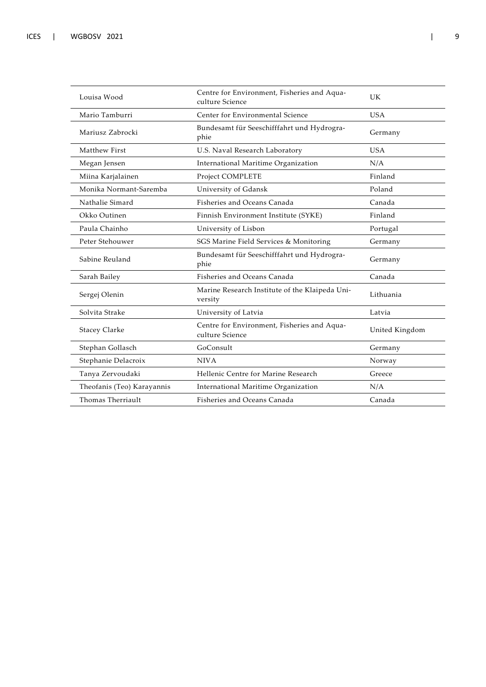| Louisa Wood                | Centre for Environment, Fisheries and Aqua-<br>culture Science | UK             |
|----------------------------|----------------------------------------------------------------|----------------|
| Mario Tamburri             | Center for Environmental Science                               | <b>USA</b>     |
| Mariusz Zabrocki           | Bundesamt für Seeschifffahrt und Hydrogra-<br>phie             | Germany        |
| Matthew First              | U.S. Naval Research Laboratory                                 | <b>USA</b>     |
| Megan Jensen               | International Maritime Organization                            | N/A            |
| Miina Karjalainen          | Project COMPLETE                                               | Finland        |
| Monika Normant-Saremba     | University of Gdansk                                           | Poland         |
| Nathalie Simard            | Fisheries and Oceans Canada                                    | Canada         |
| Okko Outinen               | Finnish Environment Institute (SYKE)                           | Finland        |
| Paula Chainho              | University of Lisbon                                           | Portugal       |
| Peter Stehouwer            | SGS Marine Field Services & Monitoring                         | Germany        |
| Sabine Reuland             | Bundesamt für Seeschifffahrt und Hydrogra-<br>phie             | Germany        |
| Sarah Bailey               | Fisheries and Oceans Canada                                    | Canada         |
| Sergej Olenin              | Marine Research Institute of the Klaipeda Uni-<br>versity      | Lithuania      |
| Solvita Strake             | University of Latvia                                           | Latvia         |
| <b>Stacey Clarke</b>       | Centre for Environment, Fisheries and Aqua-<br>culture Science | United Kingdom |
| Stephan Gollasch           | GoConsult                                                      | Germany        |
| Stephanie Delacroix        | <b>NIVA</b>                                                    | Norway         |
| Tanya Zervoudaki           | Hellenic Centre for Marine Research                            | Greece         |
| Theofanis (Teo) Karayannis | International Maritime Organization                            | N/A            |
| Thomas Therriault          | Fisheries and Oceans Canada                                    | Canada         |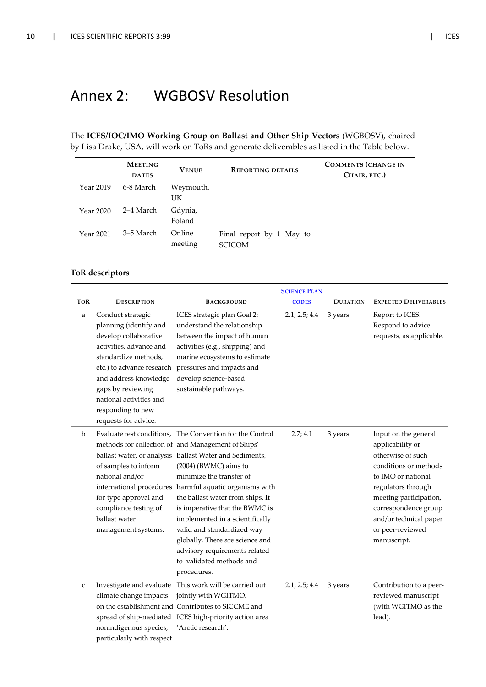### Annex 2: WGBOSV Resolution

The **ICES/IOC/IMO Working Group on Ballast and Other Ship Vectors** (WGBOSV), chaired by Lisa Drake, USA, will work on ToRs and generate deliverables as listed in the Table below.

|                  | <b>MEETING</b><br><b>DATES</b> | <b>VENUE</b>      | <b>REPORTING DETAILS</b>                  | <b>COMMENTS (CHANGE IN</b><br>CHAIR, ETC.) |
|------------------|--------------------------------|-------------------|-------------------------------------------|--------------------------------------------|
| Year 2019        | 6-8 March                      | Weymouth,         |                                           |                                            |
|                  |                                | UK                |                                           |                                            |
| Year 2020        | 2–4 March                      | Gdynia,           |                                           |                                            |
|                  |                                | Poland            |                                           |                                            |
| <b>Year 2021</b> | 3–5 March                      | Online<br>meeting | Final report by 1 May to<br><b>SCICOM</b> |                                            |

#### **ToR descriptors**

|              |                                                                                                                                                                                                                                                                            |                                                                                                                                                                                                                                                                                                                                                                                                                                                                                                                        | <b>SCIENCE PLAN</b> |                 |                                                                                                                                                                                                                                                   |
|--------------|----------------------------------------------------------------------------------------------------------------------------------------------------------------------------------------------------------------------------------------------------------------------------|------------------------------------------------------------------------------------------------------------------------------------------------------------------------------------------------------------------------------------------------------------------------------------------------------------------------------------------------------------------------------------------------------------------------------------------------------------------------------------------------------------------------|---------------------|-----------------|---------------------------------------------------------------------------------------------------------------------------------------------------------------------------------------------------------------------------------------------------|
| <b>TOR</b>   | <b>DESCRIPTION</b>                                                                                                                                                                                                                                                         | <b>BACKGROUND</b>                                                                                                                                                                                                                                                                                                                                                                                                                                                                                                      | <b>CODES</b>        | <b>DURATION</b> | <b>EXPECTED DELIVERABLES</b>                                                                                                                                                                                                                      |
| a            | Conduct strategic<br>planning (identify and<br>develop collaborative<br>activities, advance and<br>standardize methods,<br>etc.) to advance research<br>and address knowledge<br>gaps by reviewing<br>national activities and<br>responding to new<br>requests for advice. | ICES strategic plan Goal 2:<br>understand the relationship<br>between the impact of human<br>activities (e.g., shipping) and<br>marine ecosystems to estimate<br>pressures and impacts and<br>develop science-based<br>sustainable pathways.                                                                                                                                                                                                                                                                           | 2.1; 2.5; 4.4       | 3 years         | Report to ICES.<br>Respond to advice<br>requests, as applicable.                                                                                                                                                                                  |
| b            | of samples to inform<br>national and/or<br>international procedures<br>for type approval and<br>compliance testing of<br>ballast water<br>management systems.                                                                                                              | Evaluate test conditions, The Convention for the Control<br>methods for collection of and Management of Ships'<br>ballast water, or analysis Ballast Water and Sediments,<br>(2004) (BWMC) aims to<br>minimize the transfer of<br>harmful aquatic organisms with<br>the ballast water from ships. It<br>is imperative that the BWMC is<br>implemented in a scientifically<br>valid and standardized way<br>globally. There are science and<br>advisory requirements related<br>to validated methods and<br>procedures. | 2.7; 4.1            | 3 years         | Input on the general<br>applicability or<br>otherwise of such<br>conditions or methods<br>to IMO or national<br>regulators through<br>meeting participation,<br>correspondence group<br>and/or technical paper<br>or peer-reviewed<br>manuscript. |
| $\mathsf{C}$ | Investigate and evaluate<br>climate change impacts<br>nonindigenous species,<br>particularly with respect                                                                                                                                                                  | This work will be carried out<br>jointly with WGITMO.<br>on the establishment and Contributes to SICCME and<br>spread of ship-mediated ICES high-priority action area<br>'Arctic research'.                                                                                                                                                                                                                                                                                                                            | 2.1; 2.5; 4.4       | 3 years         | Contribution to a peer-<br>reviewed manuscript<br>(with WGITMO as the<br>lead).                                                                                                                                                                   |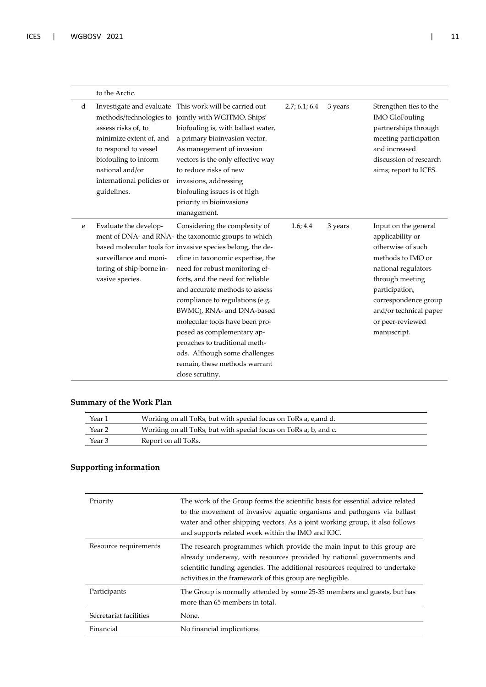|   | to the Arctic.                                                                                                                                                                           |                                                                                                                                                                                                                                                                                                                                                                                                                                                                                                                                                       |               |         |                                                                                                                                                                                                                                     |
|---|------------------------------------------------------------------------------------------------------------------------------------------------------------------------------------------|-------------------------------------------------------------------------------------------------------------------------------------------------------------------------------------------------------------------------------------------------------------------------------------------------------------------------------------------------------------------------------------------------------------------------------------------------------------------------------------------------------------------------------------------------------|---------------|---------|-------------------------------------------------------------------------------------------------------------------------------------------------------------------------------------------------------------------------------------|
| d | methods/technologies to<br>assess risks of, to<br>minimize extent of, and<br>to respond to vessel<br>biofouling to inform<br>national and/or<br>international policies or<br>guidelines. | Investigate and evaluate This work will be carried out<br>jointly with WGITMO. Ships'<br>biofouling is, with ballast water,<br>a primary bioinvasion vector.<br>As management of invasion<br>vectors is the only effective way<br>to reduce risks of new<br>invasions, addressing<br>biofouling issues is of high<br>priority in bioinvasions<br>management.                                                                                                                                                                                          | 2.7; 6.1; 6.4 | 3 years | Strengthen ties to the<br><b>IMO GloFouling</b><br>partnerships through<br>meeting participation<br>and increased<br>discussion of research<br>aims; report to ICES.                                                                |
| e | Evaluate the develop-<br>surveillance and moni-<br>toring of ship-borne in-<br>vasive species.                                                                                           | Considering the complexity of<br>ment of DNA- and RNA- the taxonomic groups to which<br>based molecular tools for invasive species belong, the de-<br>cline in taxonomic expertise, the<br>need for robust monitoring ef-<br>forts, and the need for reliable<br>and accurate methods to assess<br>compliance to regulations (e.g.<br>BWMC), RNA- and DNA-based<br>molecular tools have been pro-<br>posed as complementary ap-<br>proaches to traditional meth-<br>ods. Although some challenges<br>remain, these methods warrant<br>close scrutiny. | 1.6; 4.4      | 3 years | Input on the general<br>applicability or<br>otherwise of such<br>methods to IMO or<br>national regulators<br>through meeting<br>participation,<br>correspondence group<br>and/or technical paper<br>or peer-reviewed<br>manuscript. |

#### **Summary of the Work Plan**

| Year 1 | Working on all ToRs, but with special focus on ToRs a, e, and d. |
|--------|------------------------------------------------------------------|
| Year 2 | Working on all ToRs, but with special focus on ToRs a, b, and c. |
| Year 3 | Report on all ToRs.                                              |

#### **Supporting information**

| Priority               | The work of the Group forms the scientific basis for essential advice related<br>to the movement of invasive aquatic organisms and pathogens via ballast<br>water and other shipping vectors. As a joint working group, it also follows<br>and supports related work within the IMO and IOC. |
|------------------------|----------------------------------------------------------------------------------------------------------------------------------------------------------------------------------------------------------------------------------------------------------------------------------------------|
| Resource requirements  | The research programmes which provide the main input to this group are<br>already underway, with resources provided by national governments and<br>scientific funding agencies. The additional resources required to undertake<br>activities in the framework of this group are negligible.  |
| Participants           | The Group is normally attended by some 25-35 members and guests, but has<br>more than 65 members in total.                                                                                                                                                                                   |
| Secretariat facilities | None.                                                                                                                                                                                                                                                                                        |
| Financial              | No financial implications.                                                                                                                                                                                                                                                                   |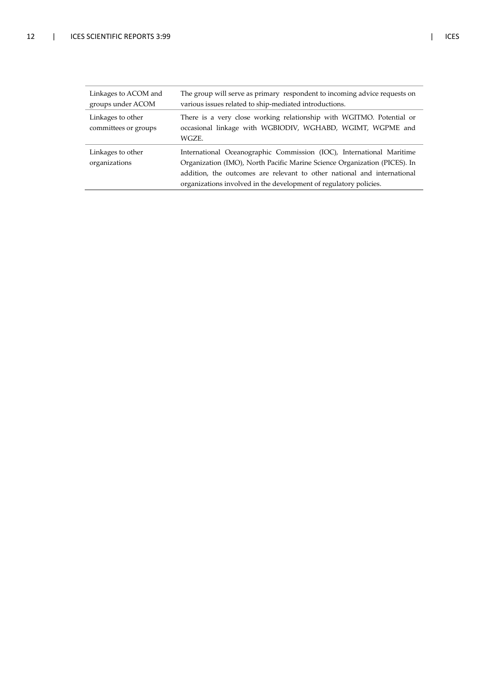| Linkages to ACOM and<br>groups under ACOM | The group will serve as primary respondent to incoming advice requests on<br>various issues related to ship-mediated introductions.                                                                                                                                                               |
|-------------------------------------------|---------------------------------------------------------------------------------------------------------------------------------------------------------------------------------------------------------------------------------------------------------------------------------------------------|
| Linkages to other<br>committees or groups | There is a very close working relationship with WGITMO. Potential or<br>occasional linkage with WGBIODIV, WGHABD, WGIMT, WGPME and<br>WGZE.                                                                                                                                                       |
| Linkages to other<br>organizations        | International Oceanographic Commission (IOC), International Maritime<br>Organization (IMO), North Pacific Marine Science Organization (PICES). In<br>addition, the outcomes are relevant to other national and international<br>organizations involved in the development of regulatory policies. |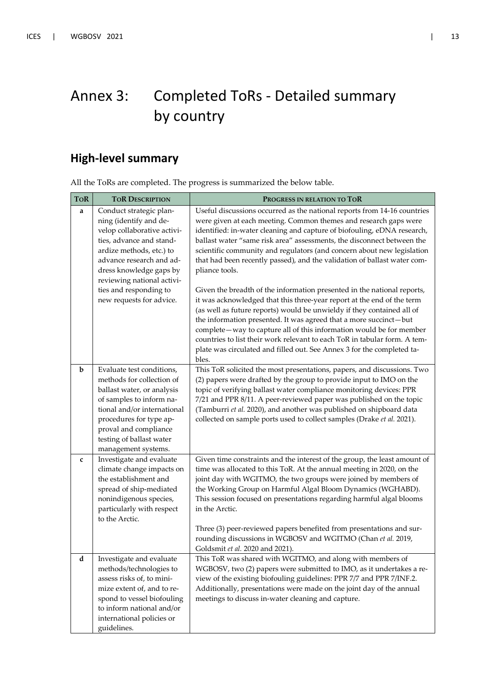# Annex 3: Completed ToRs - Detailed summary by country

### **High-level summary**

All the ToRs are completed. The progress is summarized the below table.

| <b>TOR</b> | <b>TOR DESCRIPTION</b>                                                                                                                                                                                                                                                              | PROGRESS IN RELATION TO TOR                                                                                                                                                                                                                                                                                                                                                                                                                                                                                                                                                                                                                                                                                                                                                                                                                                                                                                                                                                                          |
|------------|-------------------------------------------------------------------------------------------------------------------------------------------------------------------------------------------------------------------------------------------------------------------------------------|----------------------------------------------------------------------------------------------------------------------------------------------------------------------------------------------------------------------------------------------------------------------------------------------------------------------------------------------------------------------------------------------------------------------------------------------------------------------------------------------------------------------------------------------------------------------------------------------------------------------------------------------------------------------------------------------------------------------------------------------------------------------------------------------------------------------------------------------------------------------------------------------------------------------------------------------------------------------------------------------------------------------|
| a          | Conduct strategic plan-<br>ning (identify and de-<br>velop collaborative activi-<br>ties, advance and stand-<br>ardize methods, etc.) to<br>advance research and ad-<br>dress knowledge gaps by<br>reviewing national activi-<br>ties and responding to<br>new requests for advice. | Useful discussions occurred as the national reports from 14-16 countries<br>were given at each meeting. Common themes and research gaps were<br>identified: in-water cleaning and capture of biofouling, eDNA research,<br>ballast water "same risk area" assessments, the disconnect between the<br>scientific community and regulators (and concern about new legislation<br>that had been recently passed), and the validation of ballast water com-<br>pliance tools.<br>Given the breadth of the information presented in the national reports,<br>it was acknowledged that this three-year report at the end of the term<br>(as well as future reports) would be unwieldy if they contained all of<br>the information presented. It was agreed that a more succinct-but<br>complete-way to capture all of this information would be for member<br>countries to list their work relevant to each ToR in tabular form. A tem-<br>plate was circulated and filled out. See Annex 3 for the completed ta-<br>bles. |
| b          | Evaluate test conditions,<br>methods for collection of<br>ballast water, or analysis<br>of samples to inform na-<br>tional and/or international<br>procedures for type ap-<br>proval and compliance<br>testing of ballast water<br>management systems.                              | This ToR solicited the most presentations, papers, and discussions. Two<br>(2) papers were drafted by the group to provide input to IMO on the<br>topic of verifying ballast water compliance monitoring devices: PPR<br>7/21 and PPR 8/11. A peer-reviewed paper was published on the topic<br>(Tamburri et al. 2020), and another was published on shipboard data<br>collected on sample ports used to collect samples (Drake et al. 2021).                                                                                                                                                                                                                                                                                                                                                                                                                                                                                                                                                                        |
| C          | Investigate and evaluate<br>climate change impacts on<br>the establishment and<br>spread of ship-mediated<br>nonindigenous species,<br>particularly with respect<br>to the Arctic.                                                                                                  | Given time constraints and the interest of the group, the least amount of<br>time was allocated to this ToR. At the annual meeting in 2020, on the<br>joint day with WGITMO, the two groups were joined by members of<br>the Working Group on Harmful Algal Bloom Dynamics (WGHABD).<br>This session focused on presentations regarding harmful algal blooms<br>in the Arctic.<br>Three (3) peer-reviewed papers benefited from presentations and sur-<br>rounding discussions in WGBOSV and WGITMO (Chan et al. 2019,<br>Goldsmit et al. 2020 and 2021).                                                                                                                                                                                                                                                                                                                                                                                                                                                            |
| d          | Investigate and evaluate<br>methods/technologies to<br>assess risks of, to mini-<br>mize extent of, and to re-<br>spond to vessel biofouling<br>to inform national and/or<br>international policies or<br>guidelines.                                                               | This ToR was shared with WGITMO, and along with members of<br>WGBOSV, two (2) papers were submitted to IMO, as it undertakes a re-<br>view of the existing biofouling guidelines: PPR 7/7 and PPR 7/INF.2.<br>Additionally, presentations were made on the joint day of the annual<br>meetings to discuss in-water cleaning and capture.                                                                                                                                                                                                                                                                                                                                                                                                                                                                                                                                                                                                                                                                             |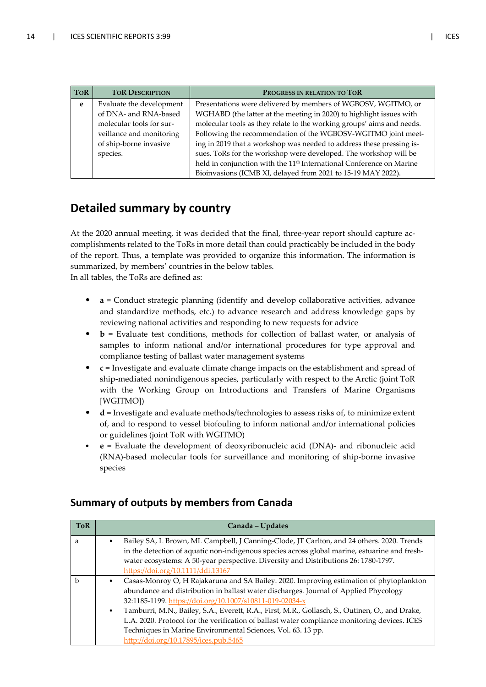| <b>TOR</b> | <b>TOR DESCRIPTION</b>   | PROGRESS IN RELATION TO TOR                                                      |
|------------|--------------------------|----------------------------------------------------------------------------------|
| e          | Evaluate the development | Presentations were delivered by members of WGBOSV, WGITMO, or                    |
|            | of DNA- and RNA-based    | WGHABD (the latter at the meeting in 2020) to highlight issues with              |
|            | molecular tools for sur- | molecular tools as they relate to the working groups' aims and needs.            |
|            | veillance and monitoring | Following the recommendation of the WGBOSV-WGITMO joint meet-                    |
|            | of ship-borne invasive   | ing in 2019 that a workshop was needed to address these pressing is-             |
|            | species.                 | sues, ToRs for the workshop were developed. The workshop will be                 |
|            |                          | held in conjunction with the 11 <sup>th</sup> International Conference on Marine |
|            |                          | Bioinvasions (ICMB XI, delayed from 2021 to 15-19 MAY 2022).                     |

### **Detailed summary by country**

At the 2020 annual meeting, it was decided that the final, three-year report should capture accomplishments related to the ToRs in more detail than could practicably be included in the body of the report. Thus, a template was provided to organize this information. The information is summarized, by members' countries in the below tables.

In all tables, the ToRs are defined as:

- **a** = Conduct strategic planning (identify and develop collaborative activities, advance and standardize methods, etc.) to advance research and address knowledge gaps by reviewing national activities and responding to new requests for advice
- **b** = Evaluate test conditions, methods for collection of ballast water, or analysis of samples to inform national and/or international procedures for type approval and compliance testing of ballast water management systems
- **c** = Investigate and evaluate climate change impacts on the establishment and spread of ship-mediated nonindigenous species, particularly with respect to the Arctic (joint ToR with the Working Group on Introductions and Transfers of Marine Organisms [WGITMO])
- **d** = Investigate and evaluate methods/technologies to assess risks of, to minimize extent of, and to respond to vessel biofouling to inform national and/or international policies or guidelines (joint ToR with WGITMO)
- **e** = Evaluate the development of deoxyribonucleic acid (DNA)- and ribonucleic acid (RNA)-based molecular tools for surveillance and monitoring of ship-borne invasive species

| <b>ToR</b>   |           | Canada - Updates                                                                                                                                                                           |
|--------------|-----------|--------------------------------------------------------------------------------------------------------------------------------------------------------------------------------------------|
| a            | ٠         | Bailey SA, L Brown, ML Campbell, J Canning-Clode, JT Carlton, and 24 others. 2020. Trends<br>in the detection of aquatic non-indigenous species across global marine, estuarine and fresh- |
|              |           | water ecosystems: A 50-year perspective. Diversity and Distributions 26: 1780-1797.<br>https://doi.org/10.1111/ddi.13167                                                                   |
| $\mathbf{h}$ | $\bullet$ | Casas-Monroy O, H Rajakaruna and SA Bailey. 2020. Improving estimation of phytoplankton                                                                                                    |
|              |           | abundance and distribution in ballast water discharges. Journal of Applied Phycology<br>32:1185-1199. https://doi.org/10.1007/s10811-019-02034-x                                           |
|              | $\bullet$ | Tamburri, M.N., Bailey, S.A., Everett, R.A., First, M.R., Gollasch, S., Outinen, O., and Drake,                                                                                            |
|              |           | L.A. 2020. Protocol for the verification of ballast water compliance monitoring devices. ICES<br>Techniques in Marine Environmental Sciences, Vol. 63. 13 pp.                              |
|              |           | http://doi.org/10.17895/ices.pub.5465                                                                                                                                                      |

#### **Summary of outputs by members from Canada**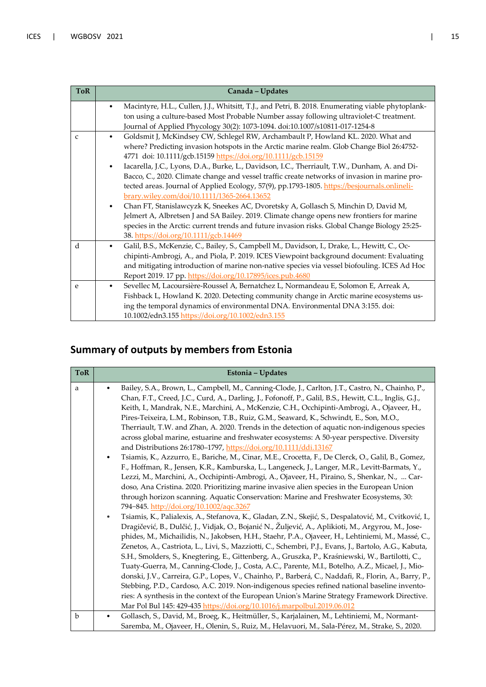| <b>ToR</b>   | Canada - Updates                                                                                               |  |
|--------------|----------------------------------------------------------------------------------------------------------------|--|
|              | Macintyre, H.L., Cullen, J.J., Whitsitt, T.J., and Petri, B. 2018. Enumerating viable phytoplank-<br>$\bullet$ |  |
|              | ton using a culture-based Most Probable Number assay following ultraviolet-C treatment.                        |  |
|              | Journal of Applied Phycology 30(2): 1073-1094. doi:10.1007/s10811-017-1254-8                                   |  |
| $\mathsf{C}$ | Goldsmit J, McKindsey CW, Schlegel RW, Archambault P, Howland KL. 2020. What and<br>$\bullet$                  |  |
|              | where? Predicting invasion hotspots in the Arctic marine realm. Glob Change Biol 26:4752-                      |  |
|              | 4771 doi: 10.1111/gcb.15159 https://doi.org/10.1111/gcb.15159                                                  |  |
|              | Iacarella, J.C., Lyons, D.A., Burke, L., Davidson, I.C., Therriault, T.W., Dunham, A. and Di-<br>$\bullet$     |  |
|              | Bacco, C., 2020. Climate change and vessel traffic create networks of invasion in marine pro-                  |  |
|              | tected areas. Journal of Applied Ecology, 57(9), pp.1793-1805. https://besjournals.onlineli-                   |  |
|              | brary.wiley.com/doi/10.1111/1365-2664.13652                                                                    |  |
|              | Chan FT, Stanislawcyzk K, Sneekes AC, Dvoretsky A, Gollasch S, Minchin D, David M,<br>$\bullet$                |  |
|              | Jelmert A, Albretsen J and SA Bailey. 2019. Climate change opens new frontiers for marine                      |  |
|              | species in the Arctic: current trends and future invasion risks. Global Change Biology 25:25-                  |  |
|              | 38. https://doi.org/10.1111/gcb.14469                                                                          |  |
| d            | Galil, B.S., McKenzie, C., Bailey, S., Campbell M., Davidson, I., Drake, L., Hewitt, C., Oc-<br>$\bullet$      |  |
|              | chipinti-Ambrogi, A., and Piola, P. 2019. ICES Viewpoint background document: Evaluating                       |  |
|              | and mitigating introduction of marine non-native species via vessel biofouling. ICES Ad Hoc                    |  |
|              | Report 2019. 17 pp. https://doi.org/10.17895/ices.pub.4680                                                     |  |
| e            | Sevellec M, Lacoursière-Roussel A, Bernatchez L, Normandeau E, Solomon E, Arreak A,<br>$\bullet$               |  |
|              | Fishback L, Howland K. 2020. Detecting community change in Arctic marine ecosystems us-                        |  |
|              | ing the temporal dynamics of environmental DNA. Environmental DNA 3:155. doi:                                  |  |
|              | 10.1002/edn3.155 https://doi.org/10.1002/edn3.155                                                              |  |

### **Summary of outputs by members from Estonia**

| <b>ToR</b>       | Estonia - Updates                                                                                                                                                                                                                                                                                                                                                                                                                                                                                                                                                                                                                                                                                                                                                                                                                                                                                                                                                                                                                                                                                                                                                                                                                                                                                                                                                                                                                                                                                                                                                                                                                                                                                                                                                                                                                                                                                                                                                                                                                                                                                                                                                                                                                                                                                                                                                                         |
|------------------|-------------------------------------------------------------------------------------------------------------------------------------------------------------------------------------------------------------------------------------------------------------------------------------------------------------------------------------------------------------------------------------------------------------------------------------------------------------------------------------------------------------------------------------------------------------------------------------------------------------------------------------------------------------------------------------------------------------------------------------------------------------------------------------------------------------------------------------------------------------------------------------------------------------------------------------------------------------------------------------------------------------------------------------------------------------------------------------------------------------------------------------------------------------------------------------------------------------------------------------------------------------------------------------------------------------------------------------------------------------------------------------------------------------------------------------------------------------------------------------------------------------------------------------------------------------------------------------------------------------------------------------------------------------------------------------------------------------------------------------------------------------------------------------------------------------------------------------------------------------------------------------------------------------------------------------------------------------------------------------------------------------------------------------------------------------------------------------------------------------------------------------------------------------------------------------------------------------------------------------------------------------------------------------------------------------------------------------------------------------------------------------------|
| a<br>$\mathbf b$ | Bailey, S.A., Brown, L., Campbell, M., Canning-Clode, J., Carlton, J.T., Castro, N., Chainho, P.,<br>Chan, F.T., Creed, J.C., Curd, A., Darling, J., Fofonoff, P., Galil, B.S., Hewitt, C.L., Inglis, G.J.,<br>Keith, I., Mandrak, N.E., Marchini, A., McKenzie, C.H., Occhipinti-Ambrogi, A., Ojaveer, H.,<br>Pires-Teixeira, L.M., Robinson, T.B., Ruiz, G.M., Seaward, K., Schwindt, E., Son, M.O.,<br>Therriault, T.W. and Zhan, A. 2020. Trends in the detection of aquatic non-indigenous species<br>across global marine, estuarine and freshwater ecosystems: A 50-year perspective. Diversity<br>and Distributions 26:1780-1797, https://doi.org/10.1111/ddi.13167<br>Tsiamis, K., Azzurro, E., Bariche, M., Cinar, M.E., Crocetta, F., De Clerck, O., Galil, B., Gomez,<br>٠<br>F., Hoffman, R., Jensen, K.R., Kamburska, L., Langeneck, J., Langer, M.R., Levitt-Barmats, Y.,<br>Lezzi, M., Marchini, A., Occhipinti-Ambrogi, A., Ojaveer, H., Piraino, S., Shenkar, N.,  Car-<br>doso, Ana Cristina. 2020. Prioritizing marine invasive alien species in the European Union<br>through horizon scanning. Aquatic Conservation: Marine and Freshwater Ecosystems, 30:<br>794-845. http://doi.org/10.1002/aqc.3267<br>Tsiamis, K., Palialexis, A., Stefanova, K., Gladan, Z.N., Skejić, S., Despalatović, M., Cvitković, I.,<br>$\bullet$<br>Dragičević, B., Dulčić, J., Vidjak, O., Bojanić N., Žuljević, A., Aplikioti, M., Argyrou, M., Jose-<br>phides, M., Michailidis, N., Jakobsen, H.H., Staehr, P.A., Ojaveer, H., Lehtiniemi, M., Massé, C.,<br>Zenetos, A., Castriota, L., Livi, S., Mazziotti, C., Schembri, P.J., Evans, J., Bartolo, A.G., Kabuta,<br>S.H., Smolders, S., Knegtering, E., Gittenberg, A., Gruszka, P., Kraśniewski, W., Bartilotti, C.,<br>Tuaty-Guerra, M., Canning-Clode, J., Costa, A.C., Parente, M.I., Botelho, A.Z., Micael, J., Mio-<br>donski, J.V., Carreira, G.P., Lopes, V., Chainho, P., Barberá, C., Naddafi, R., Florin, A., Barry, P.,<br>Stebbing, P.D., Cardoso, A.C. 2019. Non-indigenous species refined national baseline invento-<br>ries: A synthesis in the context of the European Union's Marine Strategy Framework Directive.<br>Mar Pol Bul 145: 429-435 https://doi.org/10.1016/j.marpolbul.2019.06.012<br>Gollasch, S., David, M., Broeg, K., Heitmüller, S., Karjalainen, M., Lehtiniemi, M., Normant-<br>$\bullet$ |
|                  | Saremba, M., Ojaveer, H., Olenin, S., Ruiz, M., Helavuori, M., Sala-Pérez, M., Strake, S., 2020.                                                                                                                                                                                                                                                                                                                                                                                                                                                                                                                                                                                                                                                                                                                                                                                                                                                                                                                                                                                                                                                                                                                                                                                                                                                                                                                                                                                                                                                                                                                                                                                                                                                                                                                                                                                                                                                                                                                                                                                                                                                                                                                                                                                                                                                                                          |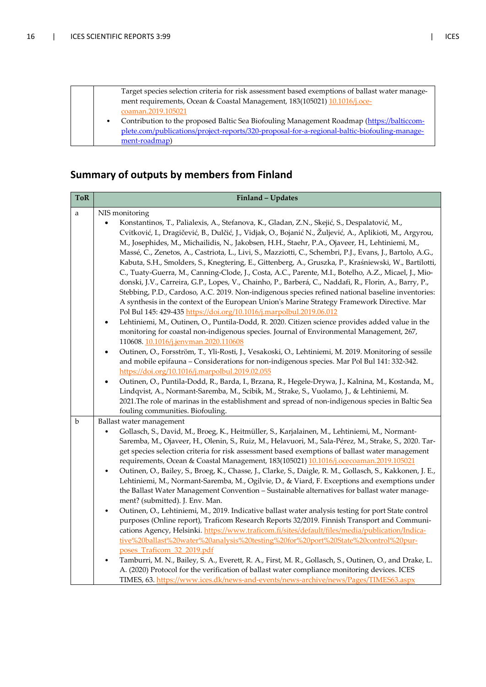

#### **Summary of outputs by members from Finland**

| <b>ToR</b> | Finland - Updates                                                                                                                                                                                            |
|------------|--------------------------------------------------------------------------------------------------------------------------------------------------------------------------------------------------------------|
| a          | NIS monitoring<br>Konstantinos, T., Palialexis, A., Stefanova, K., Gladan, Z.N., Skejić, S., Despalatović, M.,                                                                                               |
|            | Cvitković, I., Dragičević, B., Dulčić, J., Vidjak, O., Bojanić N., Žuljević, A., Aplikioti, M., Argyrou,                                                                                                     |
|            | M., Josephides, M., Michailidis, N., Jakobsen, H.H., Staehr, P.A., Ojaveer, H., Lehtiniemi, M.,<br>Massé, C., Zenetos, A., Castriota, L., Livi, S., Mazziotti, C., Schembri, P.J., Evans, J., Bartolo, A.G., |
|            | Kabuta, S.H., Smolders, S., Knegtering, E., Gittenberg, A., Gruszka, P., Kraśniewski, W., Bartilotti,                                                                                                        |
|            | C., Tuaty-Guerra, M., Canning-Clode, J., Costa, A.C., Parente, M.I., Botelho, A.Z., Micael, J., Mio-                                                                                                         |
|            | donski, J.V., Carreira, G.P., Lopes, V., Chainho, P., Barberá, C., Naddafi, R., Florin, A., Barry, P.,<br>Stebbing, P.D., Cardoso, A.C. 2019. Non-indigenous species refined national baseline inventories:  |
|            | A synthesis in the context of the European Union's Marine Strategy Framework Directive. Mar                                                                                                                  |
|            | Pol Bul 145: 429-435 https://doi.org/10.1016/j.marpolbul.2019.06.012                                                                                                                                         |
|            | Lehtiniemi, M., Outinen, O., Puntila-Dodd, R. 2020. Citizen science provides added value in the<br>$\bullet$<br>monitoring for coastal non-indigenous species. Journal of Environmental Management, 267,     |
|            | 110608. 10.1016/j.jenvman.2020.110608                                                                                                                                                                        |
|            | Outinen, O., Forsström, T., Yli-Rosti, J., Vesakoski, O., Lehtiniemi, M. 2019. Monitoring of sessile<br>$\bullet$                                                                                            |
|            | and mobile epifauna - Considerations for non-indigenous species. Mar Pol Bul 141: 332-342.<br>https://doi.org/10.1016/j.marpolbul.2019.02.055                                                                |
|            | Outinen, O., Puntila-Dodd, R., Barda, I., Brzana, R., Hegele-Drywa, J., Kalnina, M., Kostanda, M.,<br>$\bullet$                                                                                              |
|            | Lindqvist, A., Normant-Saremba, M., Scibik, M., Strake, S., Vuolamo, J., & Lehtiniemi, M.                                                                                                                    |
|            | 2021. The role of marinas in the establishment and spread of non-indigenous species in Baltic Sea<br>fouling communities. Biofouling.                                                                        |
| $\rm b$    | Ballast water management                                                                                                                                                                                     |
|            | Gollasch, S., David, M., Broeg, K., Heitmüller, S., Karjalainen, M., Lehtiniemi, M., Normant-<br>$\bullet$                                                                                                   |
|            | Saremba, M., Ojaveer, H., Olenin, S., Ruiz, M., Helavuori, M., Sala-Pérez, M., Strake, S., 2020. Tar-                                                                                                        |
|            | get species selection criteria for risk assessment based exemptions of ballast water management<br>requirements, Ocean & Coastal Management, 183(105021) 10.1016/j.ocecoaman.2019.105021                     |
|            | Outinen, O., Bailey, S., Broeg, K., Chasse, J., Clarke, S., Daigle, R. M., Gollasch, S., Kakkonen, J. E.,<br>$\bullet$                                                                                       |
|            | Lehtiniemi, M., Normant-Saremba, M., Ogilvie, D., & Viard, F. Exceptions and exemptions under                                                                                                                |
|            | the Ballast Water Management Convention - Sustainable alternatives for ballast water manage-<br>ment? (submitted). J. Env. Man.                                                                              |
|            | Outinen, O., Lehtiniemi, M., 2019. Indicative ballast water analysis testing for port State control<br>$\bullet$                                                                                             |
|            | purposes (Online report), Traficom Research Reports 32/2019. Finnish Transport and Communi-                                                                                                                  |
|            | cations Agency, Helsinki. https://www.traficom.fi/sites/default/files/media/publication/Indica-<br>tive%20ballast%20water%20analysis%20testing%20for%20port%20State%20control%20pur-                         |
|            | poses Traficom 32 2019.pdf                                                                                                                                                                                   |
|            | Tamburri, M. N., Bailey, S. A., Everett, R. A., First, M. R., Gollasch, S., Outinen, O., and Drake, L.<br>$\bullet$                                                                                          |
|            | A. (2020) Protocol for the verification of ballast water compliance monitoring devices. ICES                                                                                                                 |
|            | TIMES, 63. https://www.ices.dk/news-and-events/news-archive/news/Pages/TIMES63.aspx                                                                                                                          |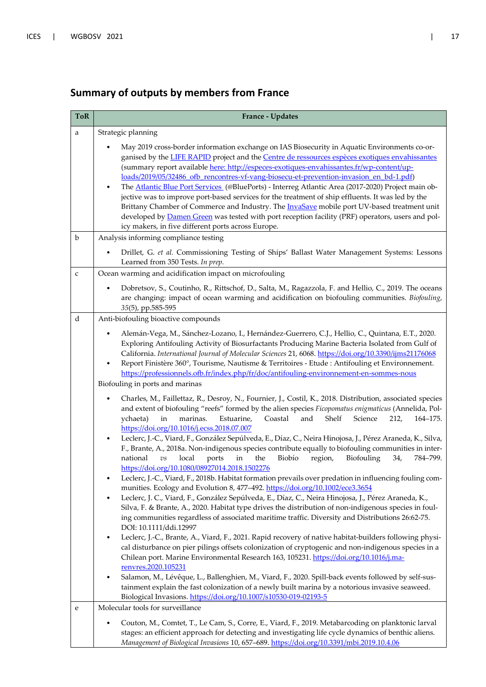| <b>ToR</b>  | France - Updates                                                                                                                                                                                                                                                                                                                                                                                                                                                                                                                                                                                                                                                                                                                                                                                                                                                                                                                                                                                                                                                                                                                                                                                                                                                                                                                                                                                                                                                                                                                                                                                                                                                                                                                                                                                                                                                                                          |  |  |
|-------------|-----------------------------------------------------------------------------------------------------------------------------------------------------------------------------------------------------------------------------------------------------------------------------------------------------------------------------------------------------------------------------------------------------------------------------------------------------------------------------------------------------------------------------------------------------------------------------------------------------------------------------------------------------------------------------------------------------------------------------------------------------------------------------------------------------------------------------------------------------------------------------------------------------------------------------------------------------------------------------------------------------------------------------------------------------------------------------------------------------------------------------------------------------------------------------------------------------------------------------------------------------------------------------------------------------------------------------------------------------------------------------------------------------------------------------------------------------------------------------------------------------------------------------------------------------------------------------------------------------------------------------------------------------------------------------------------------------------------------------------------------------------------------------------------------------------------------------------------------------------------------------------------------------------|--|--|
| a           | Strategic planning                                                                                                                                                                                                                                                                                                                                                                                                                                                                                                                                                                                                                                                                                                                                                                                                                                                                                                                                                                                                                                                                                                                                                                                                                                                                                                                                                                                                                                                                                                                                                                                                                                                                                                                                                                                                                                                                                        |  |  |
|             | May 2019 cross-border information exchange on IAS Biosecurity in Aquatic Environments co-or-<br>ganised by the <b>LIFE RAPID</b> project and the <b>Centre de ressources espèces exotiques envahissantes</b><br>(summary report available here: http://especes-exotiques-envahissantes.fr/wp-content/up-<br>loads/2019/05/32486_ofb_rencontres-vf-vang-biosecu-et-prevention-invasion_en_bd-1.pdf)                                                                                                                                                                                                                                                                                                                                                                                                                                                                                                                                                                                                                                                                                                                                                                                                                                                                                                                                                                                                                                                                                                                                                                                                                                                                                                                                                                                                                                                                                                        |  |  |
|             | The Atlantic Blue Port Services (@BluePorts) - Interreg Atlantic Area (2017-2020) Project main ob-<br>$\bullet$<br>jective was to improve port-based services for the treatment of ship effluents. It was led by the<br>Brittany Chamber of Commerce and Industry. The InvaSave mobile port UV-based treatment unit<br>developed by Damen Green was tested with port reception facility (PRF) operators, users and pol-<br>icy makers, in five different ports across Europe.                                                                                                                                                                                                                                                                                                                                                                                                                                                                                                                                                                                                                                                                                                                                                                                                                                                                                                                                                                                                                                                                                                                                                                                                                                                                                                                                                                                                                             |  |  |
| $\mathbf b$ | Analysis informing compliance testing                                                                                                                                                                                                                                                                                                                                                                                                                                                                                                                                                                                                                                                                                                                                                                                                                                                                                                                                                                                                                                                                                                                                                                                                                                                                                                                                                                                                                                                                                                                                                                                                                                                                                                                                                                                                                                                                     |  |  |
|             | Drillet, G. et al. Commissioning Testing of Ships' Ballast Water Management Systems: Lessons<br>$\bullet$<br>Learned from 350 Tests. In prep.                                                                                                                                                                                                                                                                                                                                                                                                                                                                                                                                                                                                                                                                                                                                                                                                                                                                                                                                                                                                                                                                                                                                                                                                                                                                                                                                                                                                                                                                                                                                                                                                                                                                                                                                                             |  |  |
| $\mathsf C$ | Ocean warming and acidification impact on microfouling                                                                                                                                                                                                                                                                                                                                                                                                                                                                                                                                                                                                                                                                                                                                                                                                                                                                                                                                                                                                                                                                                                                                                                                                                                                                                                                                                                                                                                                                                                                                                                                                                                                                                                                                                                                                                                                    |  |  |
|             | Dobretsov, S., Coutinho, R., Rittschof, D., Salta, M., Ragazzola, F. and Hellio, C., 2019. The oceans<br>$\bullet$<br>are changing: impact of ocean warming and acidification on biofouling communities. Biofouling,<br>35(5), pp.585-595                                                                                                                                                                                                                                                                                                                                                                                                                                                                                                                                                                                                                                                                                                                                                                                                                                                                                                                                                                                                                                                                                                                                                                                                                                                                                                                                                                                                                                                                                                                                                                                                                                                                 |  |  |
| d           | Anti-biofouling bioactive compounds                                                                                                                                                                                                                                                                                                                                                                                                                                                                                                                                                                                                                                                                                                                                                                                                                                                                                                                                                                                                                                                                                                                                                                                                                                                                                                                                                                                                                                                                                                                                                                                                                                                                                                                                                                                                                                                                       |  |  |
|             | Alemán-Vega, M., Sánchez-Lozano, I., Hernández-Guerrero, C.J., Hellio, C., Quintana, E.T., 2020.<br>Exploring Antifouling Activity of Biosurfactants Producing Marine Bacteria Isolated from Gulf of<br>California. International Journal of Molecular Sciences 21, 6068. https://doi.org/10.3390/ijms21176068<br>Report Finistère 360°, Tourisme, Nautisme & Territoires - Etude : Antifouling et Environnement.<br>٠<br>https://professionnels.ofb.fr/index.php/fr/doc/antifouling-environnement-en-sommes-nous<br>Biofouling in ports and marinas                                                                                                                                                                                                                                                                                                                                                                                                                                                                                                                                                                                                                                                                                                                                                                                                                                                                                                                                                                                                                                                                                                                                                                                                                                                                                                                                                      |  |  |
|             | Charles, M., Faillettaz, R., Desroy, N., Fournier, J., Costil, K., 2018. Distribution, associated species<br>$\bullet$<br>and extent of biofouling "reefs" formed by the alien species Ficopomatus enigmaticus (Annelida, Pol-<br>and<br>Shelf<br>in<br>marinas.<br>Estuarine,<br>Coastal<br>Science<br>212,<br>164-175.<br>ychaeta)<br>https://doi.org/10.1016/j.ecss.2018.07.007<br>Leclerc, J.-C., Viard, F., González Sepúlveda, E., Díaz, C., Neira Hinojosa, J., Pérez Araneda, K., Silva,<br>$\bullet$<br>F., Brante, A., 2018a. Non-indigenous species contribute equally to biofouling communities in inter-<br>Biobío<br>local<br>ports<br>in<br>the<br>region,<br>Biofouling<br>34,<br>national<br>$\overline{v}$ s<br>784-799.<br>https://doi.org/10.1080/08927014.2018.1502276<br>Leclerc, J.-C., Viard, F., 2018b. Habitat formation prevails over predation in influencing fouling com-<br>munities. Ecology and Evolution 8, 477-492. https://doi.org/10.1002/ece3.3654<br>Leclerc, J. C., Viard, F., González Sepúlveda, E., Díaz, C., Neira Hinojosa, J., Pérez Araneda, K.,<br>٠<br>Silva, F. & Brante, A., 2020. Habitat type drives the distribution of non-indigenous species in foul-<br>ing communities regardless of associated maritime traffic. Diversity and Distributions 26:62-75.<br>DOI: 10.1111/ddi.12997<br>Leclerc, J.-C., Brante, A., Viard, F., 2021. Rapid recovery of native habitat-builders following physi-<br>$\bullet$<br>cal disturbance on pier pilings offsets colonization of cryptogenic and non-indigenous species in a<br>Chilean port. Marine Environmental Research 163, 105231. https://doi.org/10.1016/j.ma-<br>renvres.2020.105231<br>Salamon, M., Lévêque, L., Ballenghien, M., Viard, F., 2020. Spill-back events followed by self-sus-<br>٠<br>tainment explain the fast colonization of a newly built marina by a notorious invasive seaweed. |  |  |
| e           | Biological Invasions. https://doi.org/10.1007/s10530-019-02193-5<br>Molecular tools for surveillance                                                                                                                                                                                                                                                                                                                                                                                                                                                                                                                                                                                                                                                                                                                                                                                                                                                                                                                                                                                                                                                                                                                                                                                                                                                                                                                                                                                                                                                                                                                                                                                                                                                                                                                                                                                                      |  |  |
|             | Couton, M., Comtet, T., Le Cam, S., Corre, E., Viard, F., 2019. Metabarcoding on planktonic larval<br>stages: an efficient approach for detecting and investigating life cycle dynamics of benthic aliens.<br>Management of Biological Invasions 10, 657-689. https://doi.org/10.3391/mbi.2019.10.4.06                                                                                                                                                                                                                                                                                                                                                                                                                                                                                                                                                                                                                                                                                                                                                                                                                                                                                                                                                                                                                                                                                                                                                                                                                                                                                                                                                                                                                                                                                                                                                                                                    |  |  |

### **Summary of outputs by members from France**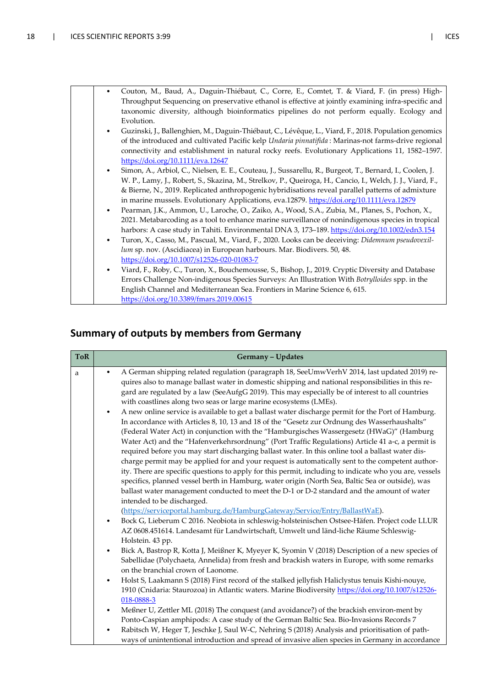| $\bullet$ | Couton, M., Baud, A., Daguin-Thiébaut, C., Corre, E., Comtet, T. & Viard, F. (in press) High-<br>Throughput Sequencing on preservative ethanol is effective at jointly examining infra-specific and<br>taxonomic diversity, although bioinformatics pipelines do not perform equally. Ecology and<br>Evolution.                                                                                                           |
|-----------|---------------------------------------------------------------------------------------------------------------------------------------------------------------------------------------------------------------------------------------------------------------------------------------------------------------------------------------------------------------------------------------------------------------------------|
| $\bullet$ | Guzinski, J., Ballenghien, M., Daguin-Thiébaut, C., Lévêque, L., Viard, F., 2018. Population genomics<br>of the introduced and cultivated Pacific kelp <i>Undaria pinnatifida</i> : Marinas-not farms-drive regional<br>connectivity and establishment in natural rocky reefs. Evolutionary Applications 11, 1582-1597.<br>https://doi.org/10.1111/eva.12647                                                              |
| $\bullet$ | Simon, A., Arbiol, C., Nielsen, E. E., Couteau, J., Sussarellu, R., Burgeot, T., Bernard, I., Coolen, J.<br>W. P., Lamy, J., Robert, S., Skazina, M., Strelkov, P., Queiroga, H., Cancio, I., Welch, J. J., Viard, F.,<br>& Bierne, N., 2019. Replicated anthropogenic hybridisations reveal parallel patterns of admixture<br>in marine mussels. Evolutionary Applications, eva.12879. https://doi.org/10.1111/eva.12879 |
| $\bullet$ | Pearman, J.K., Ammon, U., Laroche, O., Zaiko, A., Wood, S.A., Zubia, M., Planes, S., Pochon, X.,<br>2021. Metabarcoding as a tool to enhance marine surveillance of nonindigenous species in tropical<br>harbors: A case study in Tahiti. Environmental DNA 3, 173-189. https://doi.org/10.1002/edn3.154                                                                                                                  |
| $\bullet$ | Turon, X., Casso, M., Pascual, M., Viard, F., 2020. Looks can be deceiving: Didemnum pseudovexil-<br>lum sp. nov. (Ascidiacea) in European harbours. Mar. Biodivers. 50, 48.<br>https://doi.org/10.1007/s12526-020-01083-7                                                                                                                                                                                                |
| $\bullet$ | Viard, F., Roby, C., Turon, X., Bouchemousse, S., Bishop, J., 2019. Cryptic Diversity and Database<br>Errors Challenge Non-indigenous Species Surveys: An Illustration With Botrylloides spp. in the<br>English Channel and Mediterranean Sea. Frontiers in Marine Science 6, 615.<br>https://doi.org/10.3389/fmars.2019.00615                                                                                            |

### **Summary of outputs by members from Germany**

| <b>ToR</b> | Germany - Updates                                                                                                                                                                                                                                                                                                                                                                                                                                                                                                                                                                                                                                                                                                                                                                                                                                                                                                                                                                                                                                                                                                                                                                                                                                                                                                   |
|------------|---------------------------------------------------------------------------------------------------------------------------------------------------------------------------------------------------------------------------------------------------------------------------------------------------------------------------------------------------------------------------------------------------------------------------------------------------------------------------------------------------------------------------------------------------------------------------------------------------------------------------------------------------------------------------------------------------------------------------------------------------------------------------------------------------------------------------------------------------------------------------------------------------------------------------------------------------------------------------------------------------------------------------------------------------------------------------------------------------------------------------------------------------------------------------------------------------------------------------------------------------------------------------------------------------------------------|
| a          | A German shipping related regulation (paragraph 18, SeeUmwVerhV 2014, last updated 2019) re-<br>quires also to manage ballast water in domestic shipping and national responsibilities in this re-<br>gard are regulated by a law (SeeAufgG 2019). This may especially be of interest to all countries<br>with coastlines along two seas or large marine ecosystems (LMEs).<br>A new online service is available to get a ballast water discharge permit for the Port of Hamburg.<br>$\bullet$<br>In accordance with Articles 8, 10, 13 and 18 of the "Gesetz zur Ordnung des Wasserhaushalts"<br>(Federal Water Act) in conjunction with the "Hamburgisches Wassergesetz (HWaG)" (Hamburg<br>Water Act) and the "Hafenverkehrsordnung" (Port Traffic Regulations) Article 41 a-c, a permit is<br>required before you may start discharging ballast water. In this online tool a ballast water dis-<br>charge permit may be applied for and your request is automatically sent to the competent author-<br>ity. There are specific questions to apply for this permit, including to indicate who you are, vessels<br>specifics, planned vessel berth in Hamburg, water origin (North Sea, Baltic Sea or outside), was<br>ballast water management conducted to meet the D-1 or D-2 standard and the amount of water |
|            | intended to be discharged.<br>(https://serviceportal.hamburg.de/HamburgGateway/Service/Entry/BallastWaE).<br>Bock G, Lieberum C 2016. Neobiota in schleswig-holsteinischen Ostsee-Häfen. Project code LLUR<br>$\bullet$<br>AZ 0608.451614. Landesamt für Landwirtschaft, Umwelt und länd-liche Räume Schleswig-<br>Holstein. 43 pp.<br>Bick A, Bastrop R, Kotta J, Meißner K, Myeyer K, Syomin V (2018) Description of a new species of<br>$\bullet$<br>Sabellidae (Polychaeta, Annelida) from fresh and brackish waters in Europe, with some remarks<br>on the branchial crown of Laonome.<br>Holst S, Laakmann S (2018) First record of the stalked jellyfish Haliclystus tenuis Kishi-nouye,<br>$\bullet$<br>1910 (Cnidaria: Staurozoa) in Atlantic waters. Marine Biodiversity https://doi.org/10.1007/s12526-<br>018-0888-3<br>Meßner U, Zettler ML (2018) The conquest (and avoidance?) of the brackish environ-ment by<br>$\bullet$<br>Ponto-Caspian amphipods: A case study of the German Baltic Sea. Bio-Invasions Records 7<br>Rabitsch W, Heger T, Jeschke J, Saul W-C, Nehring S (2018) Analysis and prioritisation of path-<br>ways of unintentional introduction and spread of invasive alien species in Germany in accordance                                                                        |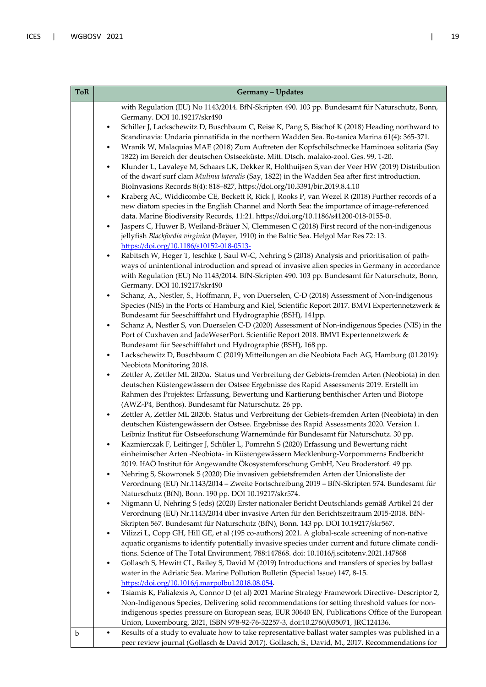| <b>ToR</b> |           | Germany - Updates                                                                                                                                                                                 |
|------------|-----------|---------------------------------------------------------------------------------------------------------------------------------------------------------------------------------------------------|
|            |           | with Regulation (EU) No 1143/2014. BfN-Skripten 490. 103 pp. Bundesamt für Naturschutz, Bonn,                                                                                                     |
|            |           | Germany. DOI 10.19217/skr490<br>Schiller J, Lackschewitz D, Buschbaum C, Reise K, Pang S, Bischof K (2018) Heading northward to                                                                   |
|            |           | Scandinavia: Undaria pinnatifida in the northern Wadden Sea. Bo-tanica Marina 61(4): 365-371.                                                                                                     |
|            | $\bullet$ | Wranik W, Malaquias MAE (2018) Zum Auftreten der Kopfschilschnecke Haminoea solitaria (Say                                                                                                        |
|            | $\bullet$ | 1822) im Bereich der deutschen Ostseeküste. Mitt. Dtsch. malako-zool. Ges. 99, 1-20.<br>Klunder L, Lavaleye M, Schaars LK, Dekker R, Holthuijsen S, van der Veer HW (2019) Distribution           |
|            |           | of the dwarf surf clam Mulinia lateralis (Say, 1822) in the Wadden Sea after first introduction.                                                                                                  |
|            |           | BioInvasions Records 8(4): 818-827, https://doi.org/10.3391/bir.2019.8.4.10                                                                                                                       |
|            | $\bullet$ | Kraberg AC, Widdicombe CE, Beckett R, Rick J, Rooks P, van Wezel R (2018) Further records of a<br>new diatom species in the English Channel and North Sea: the importance of image-referenced     |
|            |           | data. Marine Biodiversity Records, 11:21. https://doi.org/10.1186/s41200-018-0155-0.                                                                                                              |
|            | $\bullet$ | Jaspers C, Huwer B, Weiland-Bräuer N, Clemmesen C (2018) First record of the non-indigenous                                                                                                       |
|            |           | jellyfish Blackfordia virginica (Mayer, 1910) in the Baltic Sea. Helgol Mar Res 72: 13.                                                                                                           |
|            | $\bullet$ | https://doi.org/10.1186/s10152-018-0513-<br>Rabitsch W, Heger T, Jeschke J, Saul W-C, Nehring S (2018) Analysis and prioritisation of path-                                                       |
|            |           | ways of unintentional introduction and spread of invasive alien species in Germany in accordance                                                                                                  |
|            |           | with Regulation (EU) No 1143/2014. BfN-Skripten 490. 103 pp. Bundesamt für Naturschutz, Bonn,                                                                                                     |
|            | $\bullet$ | Germany. DOI 10.19217/skr490<br>Schanz, A., Nestler, S., Hoffmann, F., von Duerselen, C-D (2018) Assessment of Non-Indigenous                                                                     |
|            |           | Species (NIS) in the Ports of Hamburg and Kiel, Scientific Report 2017. BMVI Expertennetzwerk &                                                                                                   |
|            |           | Bundesamt für Seeschifffahrt und Hydrographie (BSH), 141pp.                                                                                                                                       |
|            | $\bullet$ | Schanz A, Nestler S, von Duerselen C-D (2020) Assessment of Non-indigenous Species (NIS) in the                                                                                                   |
|            |           | Port of Cuxhaven and JadeWeserPort. Scientific Report 2018. BMVI Expertennetzwerk &<br>Bundesamt für Seeschifffahrt und Hydrographie (BSH), 168 pp.                                               |
|            | $\bullet$ | Lackschewitz D, Buschbaum C (2019) Mitteilungen an die Neobiota Fach AG, Hamburg (01.2019):                                                                                                       |
|            |           | Neobiota Monitoring 2018.                                                                                                                                                                         |
|            | $\bullet$ | Zettler A, Zettler ML 2020a. Status und Verbreitung der Gebiets-fremden Arten (Neobiota) in den<br>deutschen Küstengewässern der Ostsee Ergebnisse des Rapid Assessments 2019. Erstellt im        |
|            |           | Rahmen des Projektes: Erfassung, Bewertung und Kartierung benthischer Arten und Biotope                                                                                                           |
|            |           | (AWZ-P4, Benthos). Bundesamt für Naturschutz. 26 pp.                                                                                                                                              |
|            | $\bullet$ | Zettler A, Zettler ML 2020b. Status und Verbreitung der Gebiets-fremden Arten (Neobiota) in den                                                                                                   |
|            |           | deutschen Küstengewässern der Ostsee. Ergebnisse des Rapid Assessments 2020. Version 1.<br>Leibniz Institut für Ostseeforschung Warnemünde für Bundesamt für Naturschutz. 30 pp.                  |
|            |           | Kazmierczak F, Leitinger J, Schüler L, Pomrehn S (2020) Erfassung und Bewertung nicht                                                                                                             |
|            |           | einheimischer Arten -Neobiota- in Küstengewässern Mecklenburg-Vorpommerns Endbericht                                                                                                              |
|            | $\bullet$ | 2019. IfAÖ Institut für Angewandte Ökosystemforschung GmbH, Neu Broderstorf. 49 pp.<br>Nehring S, Skowronek S (2020) Die invasiven gebietsfremden Arten der Unionsliste der                       |
|            |           | Verordnung (EU) Nr.1143/2014 - Zweite Fortschreibung 2019 - BfN-Skripten 574. Bundesamt für                                                                                                       |
|            |           | Naturschutz (BfN), Bonn. 190 pp. DOI 10.19217/skr574.                                                                                                                                             |
|            |           | Nigmann U, Nehring S (eds) (2020) Erster nationaler Bericht Deutschlands gemäß Artikel 24 der                                                                                                     |
|            |           | Verordnung (EU) Nr.1143/2014 über invasive Arten für den Berichtszeitraum 2015-2018. BfN-<br>Skripten 567. Bundesamt für Naturschutz (BfN), Bonn. 143 pp. DOI 10.19217/skr567.                    |
|            |           | Vilizzi L, Copp GH, Hill GE, et al (195 co-authors) 2021. A global-scale screening of non-native                                                                                                  |
|            |           | aquatic organisms to identify potentially invasive species under current and future climate condi-                                                                                                |
|            |           | tions. Science of The Total Environment, 788:147868. doi: 10.1016/j.scitotenv.2021.147868<br>Gollasch S, Hewitt CL, Bailey S, David M (2019) Introductions and transfers of species by ballast    |
|            | $\bullet$ | water in the Adriatic Sea. Marine Pollution Bulletin (Special Issue) 147, 8-15.                                                                                                                   |
|            |           | https://doi.org/10.1016/j.marpolbul.2018.08.054.                                                                                                                                                  |
|            | $\bullet$ | Tsiamis K, Palialexis A, Connor D (et al) 2021 Marine Strategy Framework Directive- Descriptor 2,                                                                                                 |
|            |           | Non-Indigenous Species, Delivering solid recommendations for setting threshold values for non-<br>indigenous species pressure on European seas, EUR 30640 EN, Publications Office of the European |
|            |           | Union, Luxembourg, 2021, ISBN 978-92-76-32257-3, doi:10.2760/035071, JRC124136.                                                                                                                   |
| b          | $\bullet$ | Results of a study to evaluate how to take representative ballast water samples was published in a                                                                                                |
|            |           | peer review journal (Gollasch & David 2017). Gollasch, S., David, M., 2017. Recommendations for                                                                                                   |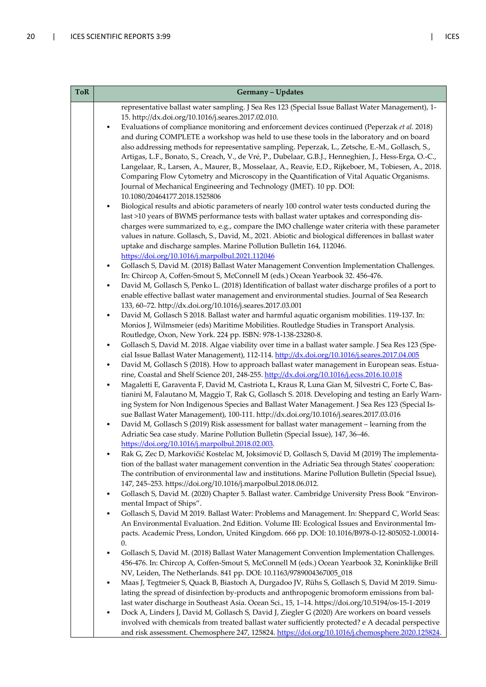| <b>ToR</b> | Germany - Updates                                                                                                                                                                                           |
|------------|-------------------------------------------------------------------------------------------------------------------------------------------------------------------------------------------------------------|
|            | representative ballast water sampling. J Sea Res 123 (Special Issue Ballast Water Management), 1-                                                                                                           |
|            | 15. http://dx.doi.org/10.1016/j.seares.2017.02.010.                                                                                                                                                         |
|            | Evaluations of compliance monitoring and enforcement devices continued (Peperzak et al. 2018)                                                                                                               |
|            | and during COMPLETE a workshop was held to use these tools in the laboratory and on board                                                                                                                   |
|            | also addressing methods for representative sampling. Peperzak, L., Zetsche, E.-M., Gollasch, S.,                                                                                                            |
|            | Artigas, L.F., Bonato, S., Creach, V., de Vré, P., Dubelaar, G.B.J., Henneghien, J., Hess-Erga, O.-C.,                                                                                                      |
|            | Langelaar, R., Larsen, A., Maurer, B., Mosselaar, A., Reavie, E.D., Rijkeboer, M., Tobiesen, A., 2018.                                                                                                      |
|            | Comparing Flow Cytometry and Microscopy in the Quantification of Vital Aquatic Organisms.                                                                                                                   |
|            | Journal of Mechanical Engineering and Technology (JMET). 10 pp. DOI:                                                                                                                                        |
|            | 10.1080/20464177.2018.1525806                                                                                                                                                                               |
|            | Biological results and abiotic parameters of nearly 100 control water tests conducted during the<br>$\bullet$<br>last >10 years of BWMS performance tests with ballast water uptakes and corresponding dis- |
|            | charges were summarized to, e.g., compare the IMO challenge water criteria with these parameter                                                                                                             |
|            | values in nature. Gollasch, S., David, M., 2021. Abiotic and biological differences in ballast water                                                                                                        |
|            | uptake and discharge samples. Marine Pollution Bulletin 164, 112046.                                                                                                                                        |
|            | https://doi.org/10.1016/j.marpolbul.2021.112046                                                                                                                                                             |
|            | Gollasch S, David M. (2018) Ballast Water Management Convention Implementation Challenges.<br>$\bullet$                                                                                                     |
|            | In: Chircop A, Coffen-Smout S, McConnell M (eds.) Ocean Yearbook 32. 456-476.                                                                                                                               |
|            | David M, Gollasch S, Penko L. (2018) Identification of ballast water discharge profiles of a port to<br>$\bullet$                                                                                           |
|            | enable effective ballast water management and environmental studies. Journal of Sea Research                                                                                                                |
|            | 133, 60-72. http://dx.doi.org/10.1016/j.seares.2017.03.001                                                                                                                                                  |
|            | David M, Gollasch S 2018. Ballast water and harmful aquatic organism mobilities. 119-137. In:<br>$\bullet$                                                                                                  |
|            | Monios J, Wilmsmeier (eds) Maritime Mobilities. Routledge Studies in Transport Analysis.                                                                                                                    |
|            | Routledge, Oxon, New York. 224 pp. ISBN: 978-1-138-23280-8.                                                                                                                                                 |
|            | Gollasch S, David M. 2018. Algae viability over time in a ballast water sample. J Sea Res 123 (Spe-<br>$\bullet$                                                                                            |
|            | cial Issue Ballast Water Management), 112-114. http://dx.doi.org/10.1016/j.seares.2017.04.005                                                                                                               |
|            | David M, Gollasch S (2018). How to approach ballast water management in European seas. Estua-<br>٠<br>rine, Coastal and Shelf Science 201, 248-255. http://dx.doi.org/10.1016/j.ecss.2016.10.018            |
|            | Magaletti E, Garaventa F, David M, Castriota L, Kraus R, Luna Gian M, Silvestri C, Forte C, Bas-<br>$\bullet$                                                                                               |
|            | tianini M, Falautano M, Maggio T, Rak G, Gollasch S. 2018. Developing and testing an Early Warn-                                                                                                            |
|            | ing System for Non Indigenous Species and Ballast Water Management. J Sea Res 123 (Special Is-                                                                                                              |
|            | sue Ballast Water Management), 100-111. http://dx.doi.org/10.1016/j.seares.2017.03.016                                                                                                                      |
|            | David M, Gollasch S (2019) Risk assessment for ballast water management - learning from the                                                                                                                 |
|            | Adriatic Sea case study. Marine Pollution Bulletin (Special Issue), 147, 36-46.                                                                                                                             |
|            | https://doi.org/10.1016/j.marpolbul.2018.02.003.                                                                                                                                                            |
|            | Rak G, Zec D, Markovičić Kostelac M, Joksimović D, Gollasch S, David M (2019) The implementa-                                                                                                               |
|            | tion of the ballast water management convention in the Adriatic Sea through States' cooperation:                                                                                                            |
|            | The contribution of environmental law and institutions. Marine Pollution Bulletin (Special Issue),                                                                                                          |
|            | 147, 245-253. https://doi.org/10.1016/j.marpolbul.2018.06.012.                                                                                                                                              |
|            | Gollasch S, David M. (2020) Chapter 5. Ballast water. Cambridge University Press Book "Environ-<br>$\bullet$                                                                                                |
|            | mental Impact of Ships".<br>Gollasch S, David M 2019. Ballast Water: Problems and Management. In: Sheppard C, World Seas:<br>٠                                                                              |
|            | An Environmental Evaluation. 2nd Edition. Volume III: Ecological Issues and Environmental Im-                                                                                                               |
|            | pacts. Academic Press, London, United Kingdom. 666 pp. DOI: 10.1016/B978-0-12-805052-1.00014-                                                                                                               |
|            | 0.                                                                                                                                                                                                          |
|            | Gollasch S, David M. (2018) Ballast Water Management Convention Implementation Challenges.<br>٠                                                                                                             |
|            | 456-476. In: Chircop A, Coffen-Smout S, McConnell M (eds.) Ocean Yearbook 32, Koninklijke Brill                                                                                                             |
|            | NV, Leiden, The Netherlands. 841 pp. DOI: 10.1163/9789004367005_018                                                                                                                                         |
|            | Maas J, Tegtmeier S, Quack B, Biastoch A, Durgadoo JV, Rühs S, Gollasch S, David M 2019. Simu-<br>٠                                                                                                         |
|            | lating the spread of disinfection by-products and anthropogenic bromoform emissions from bal-                                                                                                               |
|            | last water discharge in Southeast Asia. Ocean Sci., 15, 1-14. https://doi.org/10.5194/os-15-1-2019                                                                                                          |
|            | Dock A, Linders J, David M, Gollasch S, David J, Ziegler G (2020) Are workers on board vessels<br>$\bullet$                                                                                                 |
|            | involved with chemicals from treated ballast water sufficiently protected? e A decadal perspective                                                                                                          |
|            | and risk assessment. Chemosphere 247, 125824. https://doi.org/10.1016/j.chemosphere.2020.125824.                                                                                                            |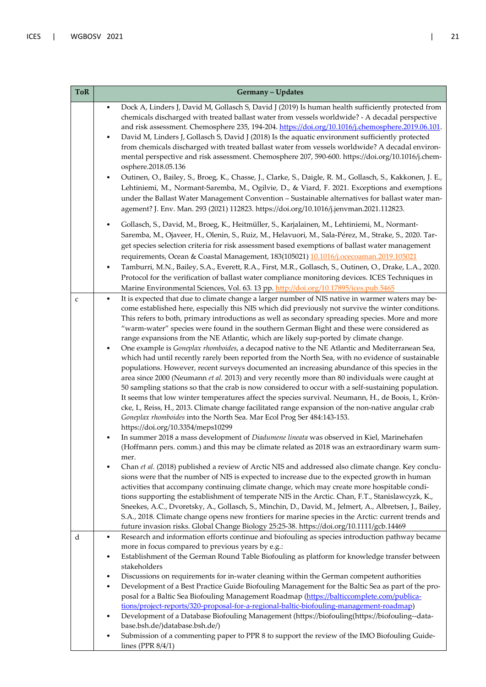| <b>ToR</b>  | Germany - Updates                                                                                                                                                                                                                                                                                                                                                                                                                                                                                                                                                                                                                                                                                                                                                                                                                                                                                                                     |  |
|-------------|---------------------------------------------------------------------------------------------------------------------------------------------------------------------------------------------------------------------------------------------------------------------------------------------------------------------------------------------------------------------------------------------------------------------------------------------------------------------------------------------------------------------------------------------------------------------------------------------------------------------------------------------------------------------------------------------------------------------------------------------------------------------------------------------------------------------------------------------------------------------------------------------------------------------------------------|--|
|             | Dock A, Linders J, David M, Gollasch S, David J (2019) Is human health sufficiently protected from<br>$\bullet$<br>chemicals discharged with treated ballast water from vessels worldwide? - A decadal perspective<br>and risk assessment. Chemosphere 235, 194-204. https://doi.org/10.1016/j.chemosphere.2019.06.101.<br>David M, Linders J, Gollasch S, David J (2018) Is the aquatic environment sufficiently protected                                                                                                                                                                                                                                                                                                                                                                                                                                                                                                           |  |
|             | from chemicals discharged with treated ballast water from vessels worldwide? A decadal environ-<br>mental perspective and risk assessment. Chemosphere 207, 590-600. https://doi.org/10.1016/j.chem-<br>osphere.2018.05.136                                                                                                                                                                                                                                                                                                                                                                                                                                                                                                                                                                                                                                                                                                           |  |
|             | Outinen, O., Bailey, S., Broeg, K., Chasse, J., Clarke, S., Daigle, R. M., Gollasch, S., Kakkonen, J. E.,<br>Lehtiniemi, M., Normant-Saremba, M., Ogilvie, D., & Viard, F. 2021. Exceptions and exemptions<br>under the Ballast Water Management Convention - Sustainable alternatives for ballast water man-<br>agement? J. Env. Man. 293 (2021) 112823. https://doi.org/10.1016/j.jenvman.2021.112823.                                                                                                                                                                                                                                                                                                                                                                                                                                                                                                                              |  |
|             | Gollasch, S., David, M., Broeg, K., Heitmüller, S., Karjalainen, M., Lehtiniemi, M., Normant-<br>$\bullet$<br>Saremba, M., Ojaveer, H., Olenin, S., Ruiz, M., Helavuori, M., Sala-Pérez, M., Strake, S., 2020. Tar-<br>get species selection criteria for risk assessment based exemptions of ballast water management                                                                                                                                                                                                                                                                                                                                                                                                                                                                                                                                                                                                                |  |
|             | requirements, Ocean & Coastal Management, 183(105021) 10.1016/j.ocecoaman.2019.105021<br>Tamburri, M.N., Bailey, S.A., Everett, R.A., First, M.R., Gollasch, S., Outinen, O., Drake, L.A., 2020.<br>Protocol for the verification of ballast water compliance monitoring devices. ICES Techniques in<br>Marine Environmental Sciences, Vol. 63. 13 pp. http://doi.org/10.17895/ices.pub.5465                                                                                                                                                                                                                                                                                                                                                                                                                                                                                                                                          |  |
| $\mathsf C$ | It is expected that due to climate change a larger number of NIS native in warmer waters may be-<br>come established here, especially this NIS which did previously not survive the winter conditions.<br>This refers to both, primary introductions as well as secondary spreading species. More and more<br>"warm-water" species were found in the southern German Bight and these were considered as                                                                                                                                                                                                                                                                                                                                                                                                                                                                                                                               |  |
|             | range expansions from the NE Atlantic, which are likely sup-ported by climate change.<br>One example is Goneplax rhomboides, a decapod native to the NE Atlantic and Mediterranean Sea,<br>which had until recently rarely been reported from the North Sea, with no evidence of sustainable<br>populations. However, recent surveys documented an increasing abundance of this species in the<br>area since 2000 (Neumann et al. 2013) and very recently more than 80 individuals were caught at<br>50 sampling stations so that the crab is now considered to occur with a self-sustaining population.<br>It seems that low winter temperatures affect the species survival. Neumann, H., de Boois, I., Krön-<br>cke, I., Reiss, H., 2013. Climate change facilitated range expansion of the non-native angular crab<br>Goneplax rhomboides into the North Sea. Mar Ecol Prog Ser 484:143-153.<br>https://doi.org/10.3354/meps10299 |  |
|             | In summer 2018 a mass development of Diadumene lineata was observed in Kiel, Marinehafen<br>(Hoffmann pers. comm.) and this may be climate related as 2018 was an extraordinary warm sum-<br>mer.                                                                                                                                                                                                                                                                                                                                                                                                                                                                                                                                                                                                                                                                                                                                     |  |
|             | Chan et al. (2018) published a review of Arctic NIS and addressed also climate change. Key conclu-<br>sions were that the number of NIS is expected to increase due to the expected growth in human<br>activities that accompany continuing climate change, which may create more hospitable condi-<br>tions supporting the establishment of temperate NIS in the Arctic. Chan, F.T., Stanislawcyzk, K.,<br>Sneekes, A.C., Dvoretsky, A., Gollasch, S., Minchin, D., David, M., Jelmert, A., Albretsen, J., Bailey,<br>S.A., 2018. Climate change opens new frontiers for marine species in the Arctic: current trends and<br>future invasion risks. Global Change Biology 25:25-38. https://doi.org/10.1111/gcb.14469                                                                                                                                                                                                                |  |
| d           | Research and information efforts continue and biofouling as species introduction pathway became<br>$\bullet$<br>more in focus compared to previous years by e.g.:<br>Establishment of the German Round Table Biofouling as platform for knowledge transfer between<br>٠                                                                                                                                                                                                                                                                                                                                                                                                                                                                                                                                                                                                                                                               |  |
|             | stakeholders                                                                                                                                                                                                                                                                                                                                                                                                                                                                                                                                                                                                                                                                                                                                                                                                                                                                                                                          |  |
|             | Discussions on requirements for in-water cleaning within the German competent authorities<br>$\bullet$<br>Development of a Best Practice Guide Biofouling Management for the Baltic Sea as part of the pro-<br>$\bullet$<br>posal for a Baltic Sea Biofouling Management Roadmap (https://balticcomplete.com/publica-<br>tions/project-reports/320-proposal-for-a-regional-baltic-biofouling-management-roadmap)                                                                                                                                                                                                                                                                                                                                                                                                                                                                                                                      |  |
|             | Development of a Database Biofouling Management (https://biofouling(https://biofouling--data-<br>base.bsh.de/)database.bsh.de/)                                                                                                                                                                                                                                                                                                                                                                                                                                                                                                                                                                                                                                                                                                                                                                                                       |  |
|             | Submission of a commenting paper to PPR 8 to support the review of the IMO Biofouling Guide-<br>lines (PPR $8/4/1$ )                                                                                                                                                                                                                                                                                                                                                                                                                                                                                                                                                                                                                                                                                                                                                                                                                  |  |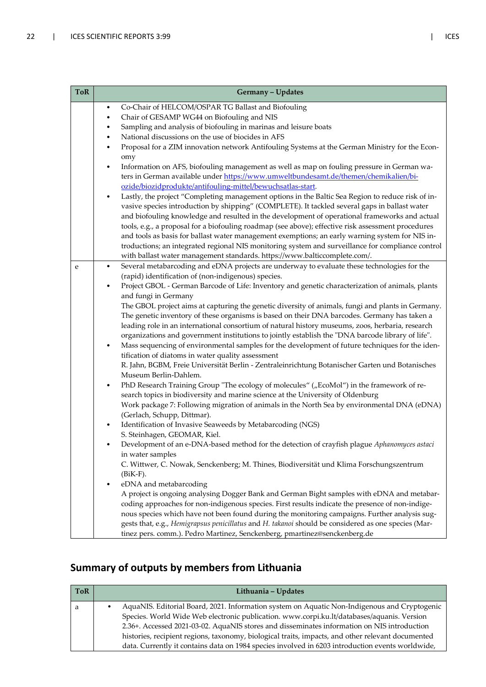| <b>ToR</b> | Germany - Updates                                                                                                                                                                                                                                                                                                                                                                                                                                                                                                                        |  |  |
|------------|------------------------------------------------------------------------------------------------------------------------------------------------------------------------------------------------------------------------------------------------------------------------------------------------------------------------------------------------------------------------------------------------------------------------------------------------------------------------------------------------------------------------------------------|--|--|
|            | Co-Chair of HELCOM/OSPAR TG Ballast and Biofouling<br>$\bullet$<br>Chair of GESAMP WG44 on Biofouling and NIS<br>٠                                                                                                                                                                                                                                                                                                                                                                                                                       |  |  |
|            | Sampling and analysis of biofouling in marinas and leisure boats                                                                                                                                                                                                                                                                                                                                                                                                                                                                         |  |  |
|            | National discussions on the use of biocides in AFS                                                                                                                                                                                                                                                                                                                                                                                                                                                                                       |  |  |
|            | Proposal for a ZIM innovation network Antifouling Systems at the German Ministry for the Econ-<br>omy                                                                                                                                                                                                                                                                                                                                                                                                                                    |  |  |
|            | Information on AFS, biofouling management as well as map on fouling pressure in German wa-<br>ters in German available under https://www.umweltbundesamt.de/themen/chemikalien/bi-<br>ozide/biozidprodukte/antifouling-mittel/bewuchsatlas-start.                                                                                                                                                                                                                                                                                        |  |  |
|            | Lastly, the project "Completing management options in the Baltic Sea Region to reduce risk of in-<br>$\bullet$<br>vasive species introduction by shipping" (COMPLETE). It tackled several gaps in ballast water<br>and biofouling knowledge and resulted in the development of operational frameworks and actual<br>tools, e.g., a proposal for a biofouling roadmap (see above); effective risk assessment procedures<br>and tools as basis for ballast water management exemptions; an early warning system for NIS in-                |  |  |
|            | troductions; an integrated regional NIS monitoring system and surveillance for compliance control<br>with ballast water management standards. https://www.balticcomplete.com/.                                                                                                                                                                                                                                                                                                                                                           |  |  |
| e          | Several metabarcoding and eDNA projects are underway to evaluate these technologies for the<br>$\bullet$<br>(rapid) identification of (non-indigenous) species.                                                                                                                                                                                                                                                                                                                                                                          |  |  |
|            | Project GBOL - German Barcode of Life: Inventory and genetic characterization of animals, plants<br>and fungi in Germany                                                                                                                                                                                                                                                                                                                                                                                                                 |  |  |
|            | The GBOL project aims at capturing the genetic diversity of animals, fungi and plants in Germany.<br>The genetic inventory of these organisms is based on their DNA barcodes. Germany has taken a<br>leading role in an international consortium of natural history museums, zoos, herbaria, research<br>organizations and government institutions to jointly establish the "DNA barcode library of life".                                                                                                                               |  |  |
|            | Mass sequencing of environmental samples for the development of future techniques for the iden-<br>$\bullet$<br>tification of diatoms in water quality assessment<br>R. Jahn, BGBM, Freie Universität Berlin - Zentraleinrichtung Botanischer Garten und Botanisches<br>Museum Berlin-Dahlem.                                                                                                                                                                                                                                            |  |  |
|            | PhD Research Training Group "The ecology of molecules" ("EcoMol") in the framework of re-<br>$\bullet$<br>search topics in biodiversity and marine science at the University of Oldenburg<br>Work package 7: Following migration of animals in the North Sea by environmental DNA (eDNA)<br>(Gerlach, Schupp, Dittmar).                                                                                                                                                                                                                  |  |  |
|            | Identification of Invasive Seaweeds by Metabarcoding (NGS)<br>$\bullet$<br>S. Steinhagen, GEOMAR, Kiel.                                                                                                                                                                                                                                                                                                                                                                                                                                  |  |  |
|            | Development of an e-DNA-based method for the detection of crayfish plague Aphanomyces astaci<br>in water samples<br>C. Wittwer, C. Nowak, Senckenberg; M. Thines, Biodiversität und Klima Forschungszentrum                                                                                                                                                                                                                                                                                                                              |  |  |
|            | $(BiK-F).$<br>eDNA and metabarcoding<br>$\bullet$<br>A project is ongoing analysing Dogger Bank and German Bight samples with eDNA and metabar-<br>coding approaches for non-indigenous species. First results indicate the presence of non-indige-<br>nous species which have not been found during the monitoring campaigns. Further analysis sug-<br>gests that, e.g., Hemigrapsus penicillatus and H. takanoi should be considered as one species (Mar-<br>tinez pers. comm.). Pedro Martinez, Senckenberg, pmartinez@senckenberg.de |  |  |

### **Summary of outputs by members from Lithuania**

| <b>ToR</b> | Lithuania - Updates                                                                               |
|------------|---------------------------------------------------------------------------------------------------|
| а          | AquaNIS. Editorial Board, 2021. Information system on Aquatic Non-Indigenous and Cryptogenic      |
|            | Species. World Wide Web electronic publication. www.corpi.ku.lt/databases/aquanis. Version        |
|            | 2.36+. Accessed 2021-03-02. AquaNIS stores and disseminates information on NIS introduction       |
|            | histories, recipient regions, taxonomy, biological traits, impacts, and other relevant documented |
|            | data. Currently it contains data on 1984 species involved in 6203 introduction events worldwide,  |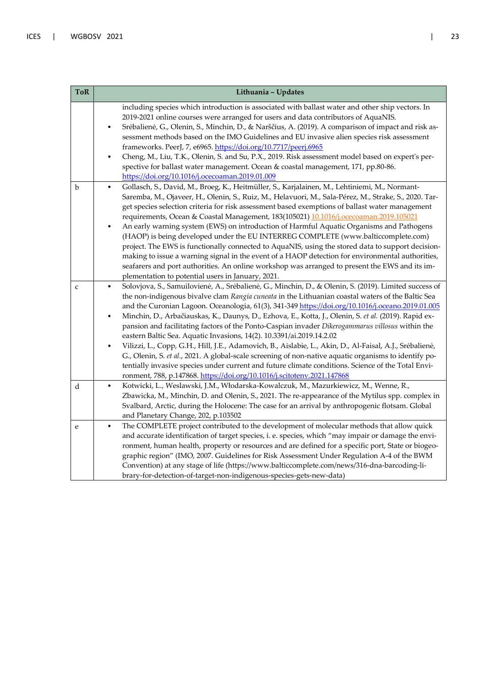| <b>ToR</b>  | Lithuania - Updates                                                                                                                                                                                                                                                                                                                                                                                                                                                                                                                                                                                                                                                                                                                                                                                                                                                                                                                                                                                                                   |
|-------------|---------------------------------------------------------------------------------------------------------------------------------------------------------------------------------------------------------------------------------------------------------------------------------------------------------------------------------------------------------------------------------------------------------------------------------------------------------------------------------------------------------------------------------------------------------------------------------------------------------------------------------------------------------------------------------------------------------------------------------------------------------------------------------------------------------------------------------------------------------------------------------------------------------------------------------------------------------------------------------------------------------------------------------------|
|             | including species which introduction is associated with ballast water and other ship vectors. In<br>2019-2021 online courses were arranged for users and data contributors of AquaNIS.<br>Srėbalienė, G., Olenin, S., Minchin, D., & Narščius, A. (2019). A comparison of impact and risk as-<br>sessment methods based on the IMO Guidelines and EU invasive alien species risk assessment<br>frameworks. PeerJ, 7, e6965. https://doi.org/10.7717/peerj.6965<br>Cheng, M., Liu, T.K., Olenin, S. and Su, P.X., 2019. Risk assessment model based on expert's per-<br>spective for ballast water management. Ocean & coastal management, 171, pp.80-86.<br>https://doi.org/10.1016/j.ocecoaman.2019.01.009                                                                                                                                                                                                                                                                                                                           |
| b           | Gollasch, S., David, M., Broeg, K., Heitmüller, S., Karjalainen, M., Lehtiniemi, M., Normant-<br>$\bullet$<br>Saremba, M., Ojaveer, H., Olenin, S., Ruiz, M., Helavuori, M., Sala-Pérez, M., Strake, S., 2020. Tar-<br>get species selection criteria for risk assessment based exemptions of ballast water management<br>requirements, Ocean & Coastal Management, 183(105021) 10.1016/j.ocecoaman.2019.105021<br>An early warning system (EWS) on introduction of Harmful Aquatic Organisms and Pathogens<br>$\bullet$<br>(HAOP) is being developed under the EU INTERREG COMPLETE (www.balticcomplete.com)<br>project. The EWS is functionally connected to AquaNIS, using the stored data to support decision-<br>making to issue a warning signal in the event of a HAOP detection for environmental authorities,<br>seafarers and port authorities. An online workshop was arranged to present the EWS and its im-<br>plementation to potential users in January, 2021.                                                         |
| $\mathbf C$ | Solovjova, S., Samuilovienė, A., Srėbalienė, G., Minchin, D., & Olenin, S. (2019). Limited success of<br>$\bullet$<br>the non-indigenous bivalve clam Rangia cuneata in the Lithuanian coastal waters of the Baltic Sea<br>and the Curonian Lagoon. Oceanologia, 61(3), 341-349 https://doi.org/10.1016/j.oceano.2019.01.005<br>Minchin, D., Arbačiauskas, K., Daunys, D., Ezhova, E., Kotta, J., Olenin, S. et al. (2019). Rapid ex-<br>$\bullet$<br>pansion and facilitating factors of the Ponto-Caspian invader Dikerogammarus villosus within the<br>eastern Baltic Sea. Aquatic Invasions, 14(2). 10.3391/ai.2019.14.2.02<br>Vilizzi, L., Copp, G.H., Hill, J.E., Adamovich, B., Aislabie, L., Akin, D., Al-Faisal, A.J., Srėbalienė,<br>G., Olenin, S. et al., 2021. A global-scale screening of non-native aquatic organisms to identify po-<br>tentially invasive species under current and future climate conditions. Science of the Total Envi-<br>ronment, 788, p.147868. https://doi.org/10.1016/j.scitotenv.2021.147868 |
| d           | Kotwicki, L., Weslawski, J.M., Włodarska-Kowalczuk, M., Mazurkiewicz, M., Wenne, R.,<br>$\bullet$<br>Zbawicka, M., Minchin, D. and Olenin, S., 2021. The re-appearance of the Mytilus spp. complex in<br>Svalbard, Arctic, during the Holocene: The case for an arrival by anthropogenic flotsam. Global<br>and Planetary Change, 202, p.103502                                                                                                                                                                                                                                                                                                                                                                                                                                                                                                                                                                                                                                                                                       |
| e           | The COMPLETE project contributed to the development of molecular methods that allow quick<br>$\bullet$<br>and accurate identification of target species, i. e. species, which "may impair or damage the envi-<br>ronment, human health, property or resources and are defined for a specific port, State or biogeo-<br>graphic region" (IMO, 2007. Guidelines for Risk Assessment Under Regulation A-4 of the BWM<br>Convention) at any stage of life (https://www.balticcomplete.com/news/316-dna-barcoding-li-<br>brary-for-detection-of-target-non-indigenous-species-gets-new-data)                                                                                                                                                                                                                                                                                                                                                                                                                                               |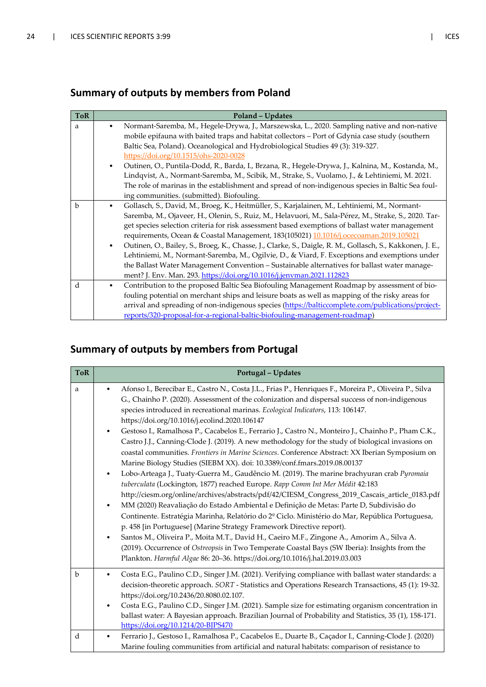### **Summary of outputs by members from Poland**

| <b>ToR</b> | Poland - Updates                                                                                          |
|------------|-----------------------------------------------------------------------------------------------------------|
| a          | Normant-Saremba, M., Hegele-Drywa, J., Marszewska, L., 2020. Sampling native and non-native               |
|            | mobile epifauna with baited traps and habitat collectors - Port of Gdynia case study (southern            |
|            | Baltic Sea, Poland). Oceanological and Hydrobiological Studies 49 (3): 319-327.                           |
|            | https://doi.org/10.1515/ohs-2020-0028                                                                     |
|            | Outinen, O., Puntila-Dodd, R., Barda, I., Brzana, R., Hegele-Drywa, J., Kalnina, M., Kostanda, M.,        |
|            | Lindqvist, A., Normant-Saremba, M., Scibik, M., Strake, S., Vuolamo, J., & Lehtiniemi, M. 2021.           |
|            | The role of marinas in the establishment and spread of non-indigenous species in Baltic Sea foul-         |
|            | ing communities. (submitted). Biofouling.                                                                 |
| b          | Gollasch, S., David, M., Broeg, K., Heitmüller, S., Karjalainen, M., Lehtiniemi, M., Normant-             |
|            | Saremba, M., Ojaveer, H., Olenin, S., Ruiz, M., Helavuori, M., Sala-Pérez, M., Strake, S., 2020. Tar-     |
|            | get species selection criteria for risk assessment based exemptions of ballast water management           |
|            | requirements, Ocean & Coastal Management, 183(105021) 10.1016/j.ocecoaman.2019.105021                     |
|            | Outinen, O., Bailey, S., Broeg, K., Chasse, J., Clarke, S., Daigle, R. M., Gollasch, S., Kakkonen, J. E., |
|            | Lehtiniemi, M., Normant-Saremba, M., Ogilvie, D., & Viard, F. Exceptions and exemptions under             |
|            | the Ballast Water Management Convention - Sustainable alternatives for ballast water manage-              |
|            | ment? J. Env. Man. 293. https://doi.org/10.1016/j.jenvman.2021.112823                                     |
| d          | Contribution to the proposed Baltic Sea Biofouling Management Roadmap by assessment of bio-               |
|            | fouling potential on merchant ships and leisure boats as well as mapping of the risky areas for           |
|            | arrival and spreading of non-indigenous species (https://balticcomplete.com/publications/project-         |
|            | reports/320-proposal-for-a-regional-baltic-biofouling-management-roadmap)                                 |

### **Summary of outputs by members from Portugal**

| <b>ToR</b>  | Portugal - Updates                                                                                                                                                                                                                                                                                                                                                                                                                                                                                                                                                                                                                                                                                                                                                                                                                                                                                                                                                                                                                                                                                                                                                                                                                                                                                                                                                                                                                                                                                                                                                                      |
|-------------|-----------------------------------------------------------------------------------------------------------------------------------------------------------------------------------------------------------------------------------------------------------------------------------------------------------------------------------------------------------------------------------------------------------------------------------------------------------------------------------------------------------------------------------------------------------------------------------------------------------------------------------------------------------------------------------------------------------------------------------------------------------------------------------------------------------------------------------------------------------------------------------------------------------------------------------------------------------------------------------------------------------------------------------------------------------------------------------------------------------------------------------------------------------------------------------------------------------------------------------------------------------------------------------------------------------------------------------------------------------------------------------------------------------------------------------------------------------------------------------------------------------------------------------------------------------------------------------------|
| a           | Afonso I., Berecibar E., Castro N., Costa J.L., Frias P., Henriques F., Moreira P., Oliveira P., Silva<br>G., Chainho P. (2020). Assessment of the colonization and dispersal success of non-indigenous<br>species introduced in recreational marinas. Ecological Indicators, 113: 106147.<br>https://doi.org/10.1016/j.ecolind.2020.106147<br>Gestoso I., Ramalhosa P., Cacabelos E., Ferrario J., Castro N., Monteiro J., Chainho P., Pham C.K.,<br>Castro J.J., Canning-Clode J. (2019). A new methodology for the study of biological invasions on<br>coastal communities. Frontiers in Marine Sciences. Conference Abstract: XX Iberian Symposium on<br>Marine Biology Studies (SIEBM XX). doi: 10.3389/conf.fmars.2019.08.00137<br>Lobo-Arteaga J., Tuaty-Guerra M., Gaudêncio M. (2019). The marine brachyuran crab Pyromaia<br>tuberculata (Lockington, 1877) reached Europe. Rapp Comm Int Mer Médit 42:183<br>http://ciesm.org/online/archives/abstracts/pdf/42/CIESM_Congress_2019_Cascais_article_0183.pdf<br>MM (2020) Reavaliação do Estado Ambiental e Definição de Metas: Parte D, Subdivisão do<br>$\bullet$<br>Continente. Estratégia Marinha, Relatório do 2º Ciclo. Ministério do Mar, República Portuguesa,<br>p. 458 [in Portuguese] (Marine Strategy Framework Directive report).<br>Santos M., Oliveira P., Moita M.T., David H., Caeiro M.F., Zingone A., Amorim A., Silva A.<br>(2019). Occurrence of Ostreopsis in Two Temperate Coastal Bays (SW Iberia): Insights from the<br>Plankton. Harmful Algae 86: 20-36. https://doi.org/10.1016/j.hal.2019.03.003 |
| $\mathbf b$ | Costa E.G., Paulino C.D., Singer J.M. (2021). Verifying compliance with ballast water standards: a<br>$\bullet$<br>decision-theoretic approach. SORT - Statistics and Operations Research Transactions, 45 (1): 19-32.<br>https://doi.org/10.2436/20.8080.02.107.<br>Costa E.G., Paulino C.D., Singer J.M. (2021). Sample size for estimating organism concentration in<br>$\bullet$<br>ballast water: A Bayesian approach. Brazilian Journal of Probability and Statistics, 35 (1), 158-171.<br>https://doi.org/10.1214/20-BJPS470                                                                                                                                                                                                                                                                                                                                                                                                                                                                                                                                                                                                                                                                                                                                                                                                                                                                                                                                                                                                                                                     |
| d           | Ferrario J., Gestoso I., Ramalhosa P., Cacabelos E., Duarte B., Caçador I., Canning-Clode J. (2020)<br>$\bullet$<br>Marine fouling communities from artificial and natural habitats: comparison of resistance to                                                                                                                                                                                                                                                                                                                                                                                                                                                                                                                                                                                                                                                                                                                                                                                                                                                                                                                                                                                                                                                                                                                                                                                                                                                                                                                                                                        |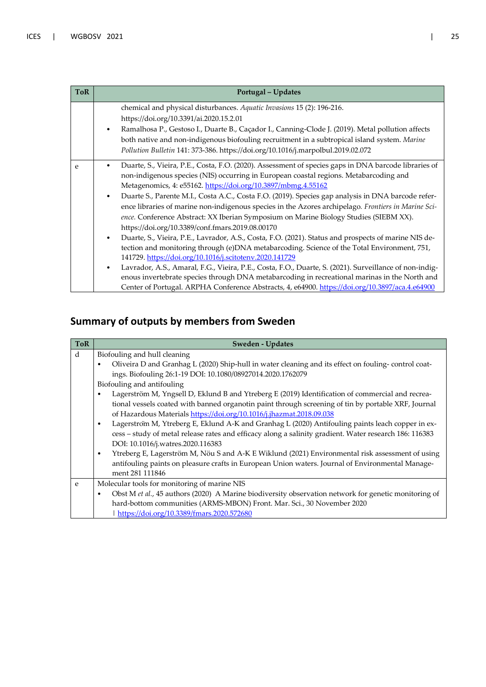| <b>ToR</b> | Portugal - Updates                                                                                                                                                                                                                                                                                                                                                                                                                                                                                                                                                                                                                                                                                                                                                                                                                                                                                                                                                                                                                                                                                                                                                                                                                      |
|------------|-----------------------------------------------------------------------------------------------------------------------------------------------------------------------------------------------------------------------------------------------------------------------------------------------------------------------------------------------------------------------------------------------------------------------------------------------------------------------------------------------------------------------------------------------------------------------------------------------------------------------------------------------------------------------------------------------------------------------------------------------------------------------------------------------------------------------------------------------------------------------------------------------------------------------------------------------------------------------------------------------------------------------------------------------------------------------------------------------------------------------------------------------------------------------------------------------------------------------------------------|
|            | chemical and physical disturbances. Aquatic Invasions 15 (2): 196-216.<br>https://doi.org/10.3391/ai.2020.15.2.01<br>Ramalhosa P., Gestoso I., Duarte B., Caçador I., Canning-Clode J. (2019). Metal pollution affects<br>$\bullet$<br>both native and non-indigenous biofouling recruitment in a subtropical island system. Marine<br>Pollution Bulletin 141: 373-386. https://doi.org/10.1016/j.marpolbul.2019.02.072                                                                                                                                                                                                                                                                                                                                                                                                                                                                                                                                                                                                                                                                                                                                                                                                                 |
| e          | Duarte, S., Vieira, P.E., Costa, F.O. (2020). Assessment of species gaps in DNA barcode libraries of<br>non-indigenous species (NIS) occurring in European coastal regions. Metabarcoding and<br>Metagenomics, 4: e55162. https://doi.org/10.3897/mbmg.4.55162<br>Duarte S., Parente M.I., Costa A.C., Costa F.O. (2019). Species gap analysis in DNA barcode refer-<br>$\bullet$<br>ence libraries of marine non-indigenous species in the Azores archipelago. Frontiers in Marine Sci-<br>ence. Conference Abstract: XX Iberian Symposium on Marine Biology Studies (SIEBM XX).<br>https://doi.org/10.3389/conf.fmars.2019.08.00170<br>Duarte, S., Vieira, P.E., Lavrador, A.S., Costa, F.O. (2021). Status and prospects of marine NIS de-<br>٠<br>tection and monitoring through (e)DNA metabarcoding. Science of the Total Environment, 751,<br>141729. https://doi.org/10.1016/j.scitotenv.2020.141729<br>Lavrador, A.S., Amaral, F.G., Vieira, P.E., Costa, F.O., Duarte, S. (2021). Surveillance of non-indig-<br>$\bullet$<br>enous invertebrate species through DNA metabarcoding in recreational marinas in the North and<br>Center of Portugal. ARPHA Conference Abstracts, 4, e64900. https://doi.org/10.3897/aca.4.e64900 |

### **Summary of outputs by members from Sweden**

| <b>ToR</b> | <b>Sweden - Updates</b>                                                                                           |
|------------|-------------------------------------------------------------------------------------------------------------------|
| d          | Biofouling and hull cleaning                                                                                      |
|            | Oliveira D and Granhag L (2020) Ship-hull in water cleaning and its effect on fouling-control coat-<br>$\bullet$  |
|            | ings. Biofouling 26:1-19 DOI: 10.1080/08927014.2020.1762079                                                       |
|            | Biofouling and antifouling                                                                                        |
|            | Lagerström M, Yngsell D, Eklund B and Ytreberg E (2019) Identification of commercial and recrea-<br>$\bullet$     |
|            | tional vessels coated with banned organotin paint through screening of tin by portable XRF, Journal               |
|            | of Hazardous Materials https://doi.org/10.1016/j.jhazmat.2018.09.038                                              |
|            | Lagerstrom M, Ytreberg E, Eklund A-K and Granhag L (2020) Antifouling paints leach copper in ex-<br>$\bullet$     |
|            | cess - study of metal release rates and efficacy along a salinity gradient. Water research 186: 116383            |
|            | DOI: 10.1016/j.watres.2020.116383                                                                                 |
|            | Ytreberg E, Lagerström M, Nöu S and A-K E Wiklund (2021) Environmental risk assessment of using<br>$\bullet$      |
|            | antifouling paints on pleasure crafts in European Union waters. Journal of Environmental Manage-                  |
|            | ment 281 111846                                                                                                   |
| e          | Molecular tools for monitoring of marine NIS                                                                      |
|            | Obst M et al., 45 authors (2020) A Marine biodiversity observation network for genetic monitoring of<br>$\bullet$ |
|            | hard-bottom communities (ARMS-MBON) Front. Mar. Sci., 30 November 2020                                            |
|            | https://doi.org/10.3389/fmars.2020.572680                                                                         |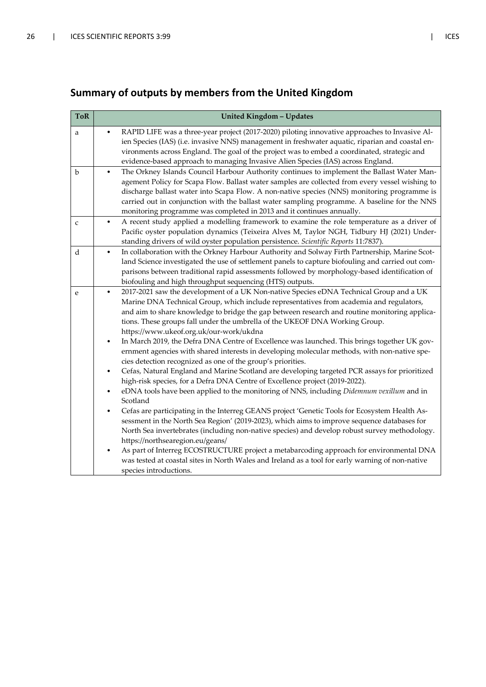### **Summary of outputs by members from the United Kingdom**

| <b>ToR</b>   | <b>United Kingdom - Updates</b>                                                                                                                                                        |
|--------------|----------------------------------------------------------------------------------------------------------------------------------------------------------------------------------------|
| a            | RAPID LIFE was a three-year project (2017-2020) piloting innovative approaches to Invasive Al-                                                                                         |
|              | ien Species (IAS) (i.e. invasive NNS) management in freshwater aquatic, riparian and coastal en-                                                                                       |
|              | vironments across England. The goal of the project was to embed a coordinated, strategic and                                                                                           |
|              | evidence-based approach to managing Invasive Alien Species (IAS) across England.                                                                                                       |
| b            | The Orkney Islands Council Harbour Authority continues to implement the Ballast Water Man-<br>$\bullet$                                                                                |
|              | agement Policy for Scapa Flow. Ballast water samples are collected from every vessel wishing to                                                                                        |
|              | discharge ballast water into Scapa Flow. A non-native species (NNS) monitoring programme is                                                                                            |
|              | carried out in conjunction with the ballast water sampling programme. A baseline for the NNS                                                                                           |
|              | monitoring programme was completed in 2013 and it continues annually.                                                                                                                  |
| $\mathsf{C}$ | A recent study applied a modelling framework to examine the role temperature as a driver of<br>$\bullet$                                                                               |
|              | Pacific oyster population dynamics (Teixeira Alves M, Taylor NGH, Tidbury HJ (2021) Under-                                                                                             |
|              | standing drivers of wild oyster population persistence. Scientific Reports 11:7837).                                                                                                   |
| d            | In collaboration with the Orkney Harbour Authority and Solway Firth Partnership, Marine Scot-<br>$\bullet$                                                                             |
|              | land Science investigated the use of settlement panels to capture biofouling and carried out com-                                                                                      |
|              | parisons between traditional rapid assessments followed by morphology-based identification of                                                                                          |
|              | biofouling and high throughput sequencing (HTS) outputs.                                                                                                                               |
| e            | 2017-2021 saw the development of a UK Non-native Species eDNA Technical Group and a UK<br>٠                                                                                            |
|              | Marine DNA Technical Group, which include representatives from academia and regulators,                                                                                                |
|              | and aim to share knowledge to bridge the gap between research and routine monitoring applica-                                                                                          |
|              | tions. These groups fall under the umbrella of the UKEOF DNA Working Group.                                                                                                            |
|              | https://www.ukeof.org.uk/our-work/ukdna                                                                                                                                                |
|              | In March 2019, the Defra DNA Centre of Excellence was launched. This brings together UK gov-<br>$\bullet$                                                                              |
|              | ernment agencies with shared interests in developing molecular methods, with non-native spe-                                                                                           |
|              | cies detection recognized as one of the group's priorities.                                                                                                                            |
|              | Cefas, Natural England and Marine Scotland are developing targeted PCR assays for prioritized<br>$\bullet$                                                                             |
|              | high-risk species, for a Defra DNA Centre of Excellence project (2019-2022).<br>eDNA tools have been applied to the monitoring of NNS, including Didemnum vexillum and in<br>$\bullet$ |
|              | Scotland                                                                                                                                                                               |
|              | Cefas are participating in the Interreg GEANS project 'Genetic Tools for Ecosystem Health As-<br>$\bullet$                                                                             |
|              | sessment in the North Sea Region' (2019-2023), which aims to improve sequence databases for                                                                                            |
|              | North Sea invertebrates (including non-native species) and develop robust survey methodology.                                                                                          |
|              | https://northsearegion.eu/geans/                                                                                                                                                       |
|              | As part of Interreg ECOSTRUCTURE project a metabarcoding approach for environmental DNA<br>$\bullet$                                                                                   |
|              | was tested at coastal sites in North Wales and Ireland as a tool for early warning of non-native                                                                                       |
|              | species introductions.                                                                                                                                                                 |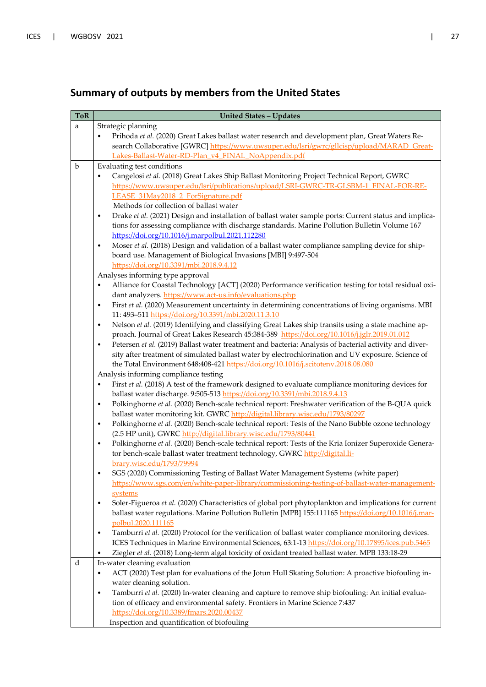### **Summary of outputs by members from the United States**

| <b>ToR</b> | <b>United States - Updates</b>                                                                                                                                                                                              |
|------------|-----------------------------------------------------------------------------------------------------------------------------------------------------------------------------------------------------------------------------|
| a          | Strategic planning                                                                                                                                                                                                          |
|            | Prihoda et al. (2020) Great Lakes ballast water research and development plan, Great Waters Re-<br>٠                                                                                                                        |
|            | search Collaborative [GWRC] https://www.uwsuper.edu/lsri/gwrc/gllcisp/upload/MARAD Great-                                                                                                                                   |
|            | Lakes-Ballast-Water-RD-Plan v4 FINAL NoAppendix.pdf                                                                                                                                                                         |
| b          | Evaluating test conditions                                                                                                                                                                                                  |
|            | Cangelosi et al. (2018) Great Lakes Ship Ballast Monitoring Project Technical Report, GWRC<br>٠                                                                                                                             |
|            | https://www.uwsuper.edu/lsri/publications/upload/LSRI-GWRC-TR-GLSBM-1 FINAL-FOR-RE-                                                                                                                                         |
|            | LEASE 31May2018 2 ForSignature.pdf                                                                                                                                                                                          |
|            | Methods for collection of ballast water                                                                                                                                                                                     |
|            | Drake et al. (2021) Design and installation of ballast water sample ports: Current status and implica-<br>$\bullet$                                                                                                         |
|            | tions for assessing compliance with discharge standards. Marine Pollution Bulletin Volume 167                                                                                                                               |
|            | https://doi.org/10.1016/j.marpolbul.2021.112280                                                                                                                                                                             |
|            | Moser et al. (2018) Design and validation of a ballast water compliance sampling device for ship-<br>$\bullet$                                                                                                              |
|            | board use. Management of Biological Invasions [MBI] 9:497-504                                                                                                                                                               |
|            | https://doi.org/10.3391/mbi.2018.9.4.12                                                                                                                                                                                     |
|            | Analyses informing type approval                                                                                                                                                                                            |
|            | Alliance for Coastal Technology [ACT] (2020) Performance verification testing for total residual oxi-<br>$\bullet$                                                                                                          |
|            | dant analyzers. https://www.act-us.info/evaluations.php<br>First et al. (2020) Measurement uncertainty in determining concentrations of living organisms. MBI                                                               |
|            | $\bullet$<br>11: 493-511 https://doi.org/10.3391/mbi.2020.11.3.10                                                                                                                                                           |
|            | Nelson et al. (2019) Identifying and classifying Great Lakes ship transits using a state machine ap-<br>$\bullet$                                                                                                           |
|            | proach. Journal of Great Lakes Research 45:384-389 https://doi.org/10.1016/j.jglr.2019.01.012                                                                                                                               |
|            | Petersen et al. (2019) Ballast water treatment and bacteria: Analysis of bacterial activity and diver-<br>$\bullet$                                                                                                         |
|            | sity after treatment of simulated ballast water by electrochlorination and UV exposure. Science of                                                                                                                          |
|            | the Total Environment 648:408-421 https://doi.org/10.1016/j.scitotenv.2018.08.080                                                                                                                                           |
|            | Analysis informing compliance testing                                                                                                                                                                                       |
|            | First et al. (2018) A test of the framework designed to evaluate compliance monitoring devices for<br>$\bullet$                                                                                                             |
|            | ballast water discharge. 9:505-513 https://doi.org/10.3391/mbi.2018.9.4.13                                                                                                                                                  |
|            | Polkinghorne et al. (2020) Bench-scale technical report: Freshwater verification of the B-QUA quick<br>$\bullet$                                                                                                            |
|            | ballast water monitoring kit. GWRC http://digital.library.wisc.edu/1793/80297                                                                                                                                               |
|            | Polkinghorne et al. (2020) Bench-scale technical report: Tests of the Nano Bubble ozone technology<br>$\bullet$                                                                                                             |
|            | (2.5 HP unit), GWRC http://digital.library.wisc.edu/1793/80441                                                                                                                                                              |
|            | Polkinghorne et al. (2020) Bench-scale technical report: Tests of the Kria Ionizer Superoxide Genera-<br>$\bullet$                                                                                                          |
|            | tor bench-scale ballast water treatment technology, GWRC http://digital.li-                                                                                                                                                 |
|            | brary.wisc.edu/1793/79994                                                                                                                                                                                                   |
|            | SGS (2020) Commissioning Testing of Ballast Water Management Systems (white paper)<br>٠                                                                                                                                     |
|            | https://www.sgs.com/en/white-paper-library/commissioning-testing-of-ballast-water-management-                                                                                                                               |
|            | systems                                                                                                                                                                                                                     |
|            | Soler-Figueroa et al. (2020) Characteristics of global port phytoplankton and implications for current<br>$\bullet$<br>ballast water regulations. Marine Pollution Bulletin [MPB] 155:111165 https://doi.org/10.1016/j.mar- |
|            | polbul.2020.111165                                                                                                                                                                                                          |
|            | Tamburri et al. (2020) Protocol for the verification of ballast water compliance monitoring devices.<br>$\bullet$                                                                                                           |
|            | ICES Techniques in Marine Environmental Sciences, 63:1-13 https://doi.org/10.17895/ices.pub.5465                                                                                                                            |
|            | Ziegler et al. (2018) Long-term algal toxicity of oxidant treated ballast water. MPB 133:18-29<br>$\bullet$                                                                                                                 |
| d          | In-water cleaning evaluation                                                                                                                                                                                                |
|            | ACT (2020) Test plan for evaluations of the Jotun Hull Skating Solution: A proactive biofouling in-<br>٠                                                                                                                    |
|            | water cleaning solution.                                                                                                                                                                                                    |
|            | Tamburri et al. (2020) In-water cleaning and capture to remove ship biofouling: An initial evalua-<br>$\bullet$                                                                                                             |
|            | tion of efficacy and environmental safety. Frontiers in Marine Science 7:437                                                                                                                                                |
|            | https://doi.org/10.3389/fmars.2020.00437                                                                                                                                                                                    |
|            | Inspection and quantification of biofouling                                                                                                                                                                                 |
|            |                                                                                                                                                                                                                             |